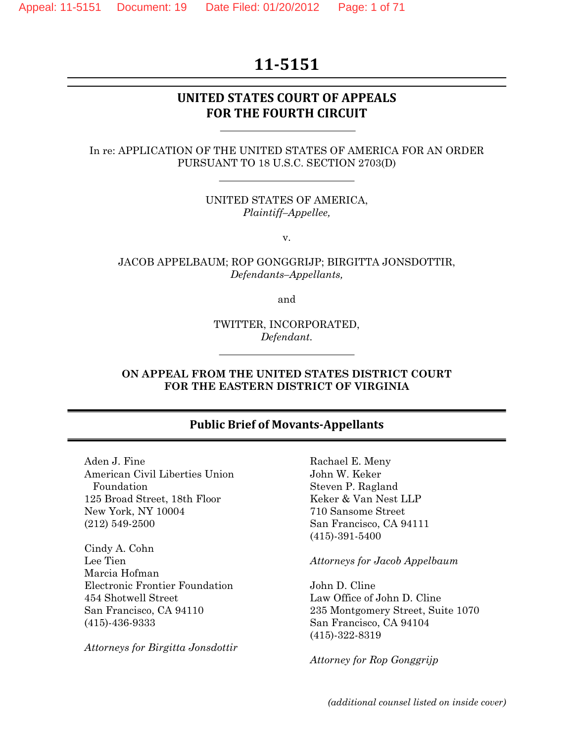# **11‐5151**

## **UNITED STATES COURT OF APPEALS FOR THE FOURTH CIRCUIT**

#### In re: APPLICATION OF THE UNITED STATES OF AMERICA FOR AN ORDER PURSUANT TO 18 U.S.C. SECTION 2703(D)

UNITED STATES OF AMERICA, *Plaintiff–Appellee,* 

v.

JACOB APPELBAUM; ROP GONGGRIJP; BIRGITTA JONSDOTTIR, *Defendants–Appellants,* 

and

TWITTER, INCORPORATED, *Defendant.* 

#### **ON APPEAL FROM THE UNITED STATES DISTRICT COURT FOR THE EASTERN DISTRICT OF VIRGINIA**

#### **Public Brief of Movants‐Appellants**

Aden J. Fine American Civil Liberties Union Foundation 125 Broad Street, 18th Floor New York, NY 10004 (212) 549-2500

Cindy A. Cohn Lee Tien Marcia Hofman Electronic Frontier Foundation 454 Shotwell Street San Francisco, CA 94110 (415)-436-9333

*Attorneys for Birgitta Jonsdottir* 

Rachael E. Meny John W. Keker Steven P. Ragland Keker & Van Nest LLP 710 Sansome Street San Francisco, CA 94111 (415)-391-5400

#### *Attorneys for Jacob Appelbaum*

John D. Cline Law Office of John D. Cline 235 Montgomery Street, Suite 1070 San Francisco, CA 94104 (415)-322-8319

*Attorney for Rop Gonggrijp*

*(additional counsel listed on inside cover)*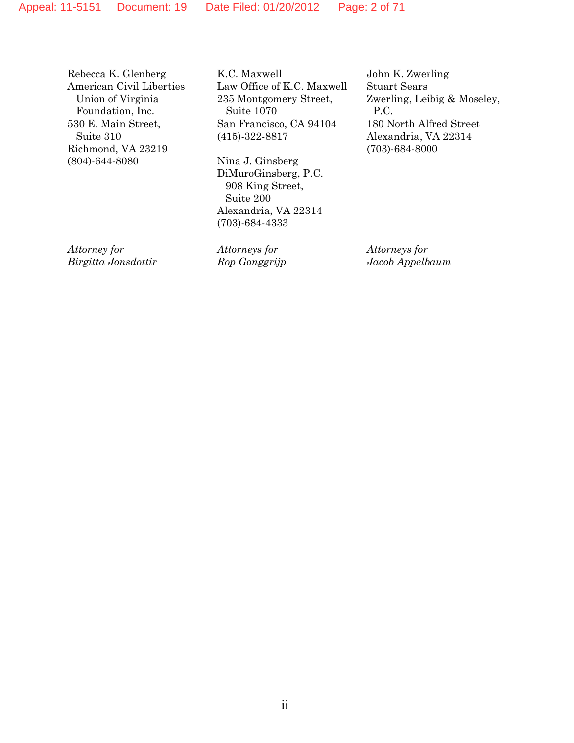Rebecca K. Glenberg American Civil Liberties Union of Virginia Foundation, Inc. 530 E. Main Street, Suite 310 Richmond, VA 23219 (804)-644-8080

K.C. Maxwell Law Office of K.C. Maxwell 235 Montgomery Street, Suite 1070 San Francisco, CA 94104 (415)-322-8817

Nina J. Ginsberg DiMuroGinsberg, P.C. 908 King Street, Suite 200 Alexandria, VA 22314 (703)-684-4333

*Attorney for Birgitta Jonsdottir* *Attorneys for Rop Gonggrijp* John K. Zwerling Stuart Sears Zwerling, Leibig & Moseley, P.C. 180 North Alfred Street Alexandria, VA 22314 (703)-684-8000

*Attorneys for Jacob Appelbaum*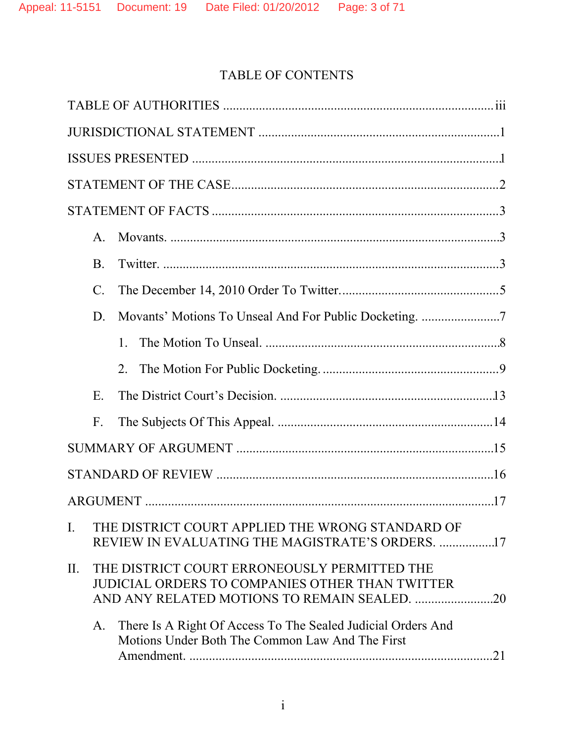# TABLE OF CONTENTS

|                | $\mathsf{A}$ .  |                                                                                                                 |  |  |  |  |
|----------------|-----------------|-----------------------------------------------------------------------------------------------------------------|--|--|--|--|
|                | Β.              |                                                                                                                 |  |  |  |  |
|                | $\mathcal{C}$ . |                                                                                                                 |  |  |  |  |
|                | D.              |                                                                                                                 |  |  |  |  |
|                |                 | $1_{-}$                                                                                                         |  |  |  |  |
|                |                 | $2_{\cdot}$                                                                                                     |  |  |  |  |
|                | Ε.              |                                                                                                                 |  |  |  |  |
|                | $F_{\cdot}$     |                                                                                                                 |  |  |  |  |
|                |                 |                                                                                                                 |  |  |  |  |
|                |                 |                                                                                                                 |  |  |  |  |
|                |                 |                                                                                                                 |  |  |  |  |
| $\mathbf{I}$ . |                 | THE DISTRICT COURT APPLIED THE WRONG STANDARD OF<br>REVIEW IN EVALUATING THE MAGISTRATE'S ORDERS. 17            |  |  |  |  |
| II.            |                 | THE DISTRICT COURT ERRONEOUSLY PERMITTED THE<br>JUDICIAL ORDERS TO COMPANIES OTHER THAN TWITTER                 |  |  |  |  |
|                | A.              | There Is A Right Of Access To The Sealed Judicial Orders And<br>Motions Under Both The Common Law And The First |  |  |  |  |
|                |                 |                                                                                                                 |  |  |  |  |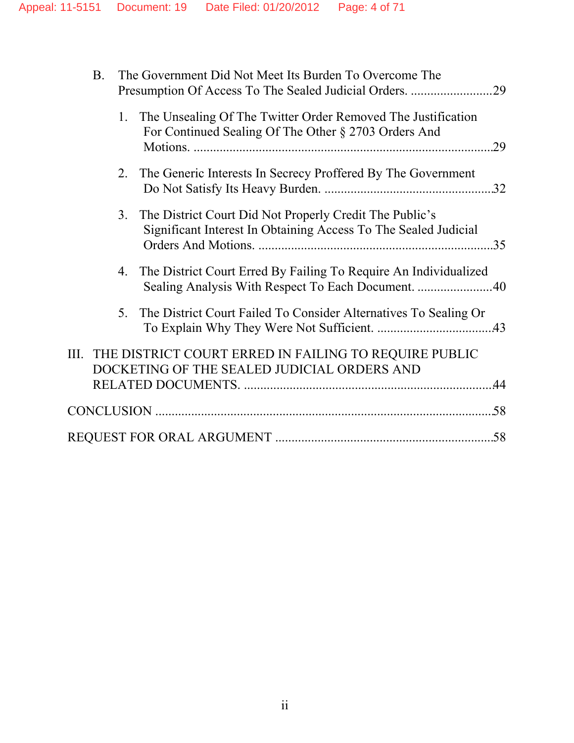| Β. |                | The Government Did Not Meet Its Burden To Overcome The                                                                     |     |
|----|----------------|----------------------------------------------------------------------------------------------------------------------------|-----|
|    | 1.             | The Unsealing Of The Twitter Order Removed The Justification<br>For Continued Sealing Of The Other § 2703 Orders And       | .29 |
|    | 2.             | The Generic Interests In Secrecy Proffered By The Government                                                               |     |
|    | 3.             | The District Court Did Not Properly Credit The Public's<br>Significant Interest In Obtaining Access To The Sealed Judicial | 35  |
|    |                | 4. The District Court Erred By Failing To Require An Individualized                                                        |     |
|    | 5 <sub>1</sub> | The District Court Failed To Consider Alternatives To Sealing Or                                                           |     |
|    |                | III. THE DISTRICT COURT ERRED IN FAILING TO REQUIRE PUBLIC<br>DOCKETING OF THE SEALED JUDICIAL ORDERS AND                  |     |
|    |                |                                                                                                                            |     |
|    |                |                                                                                                                            |     |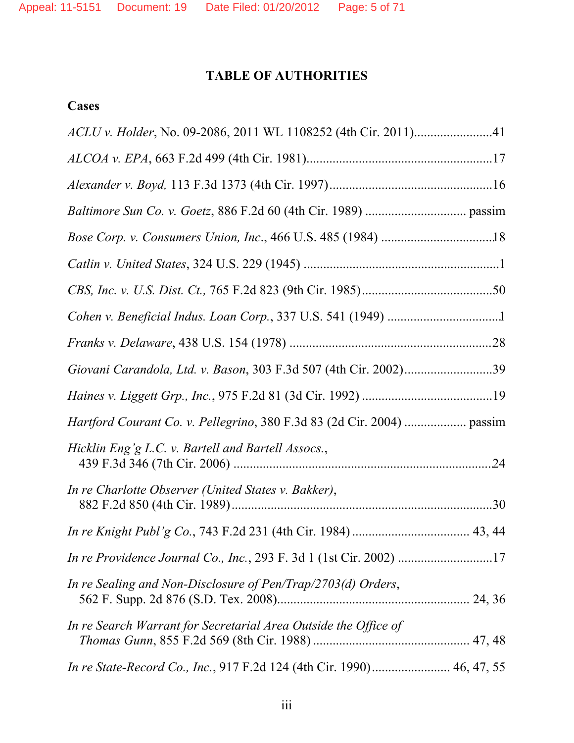# **TABLE OF AUTHORITIES**

## **Cases**

| Giovani Carandola, Ltd. v. Bason, 303 F.3d 507 (4th Cir. 2002)39      |  |
|-----------------------------------------------------------------------|--|
|                                                                       |  |
|                                                                       |  |
| Hicklin Eng'g L.C. v. Bartell and Bartell Assocs.,                    |  |
| In re Charlotte Observer (United States v. Bakker),                   |  |
|                                                                       |  |
| In re Providence Journal Co., Inc., 293 F. 3d 1 (1st Cir. 2002) 17    |  |
| In re Sealing and Non-Disclosure of Pen/Trap/2703(d) Orders,          |  |
| In re Search Warrant for Secretarial Area Outside the Office of       |  |
| In re State-Record Co., Inc., 917 F.2d 124 (4th Cir. 1990) 46, 47, 55 |  |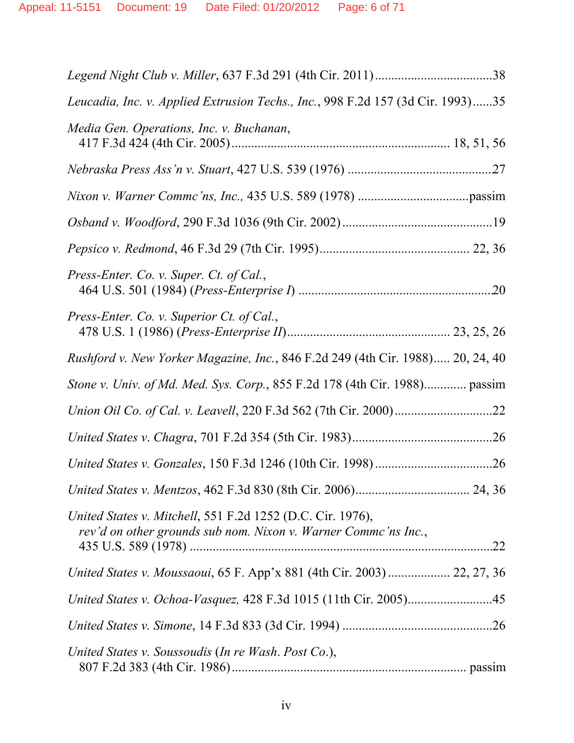| Leucadia, Inc. v. Applied Extrusion Techs., Inc., 998 F.2d 157 (3d Cir. 1993)35                                              |  |
|------------------------------------------------------------------------------------------------------------------------------|--|
| Media Gen. Operations, Inc. v. Buchanan,                                                                                     |  |
|                                                                                                                              |  |
|                                                                                                                              |  |
|                                                                                                                              |  |
|                                                                                                                              |  |
| Press-Enter. Co. v. Super. Ct. of Cal.,                                                                                      |  |
| Press-Enter. Co. v. Superior Ct. of Cal.,                                                                                    |  |
| Rushford v. New Yorker Magazine, Inc., 846 F.2d 249 (4th Cir. 1988) 20, 24, 40                                               |  |
| Stone v. Univ. of Md. Med. Sys. Corp., 855 F.2d 178 (4th Cir. 1988) passim                                                   |  |
|                                                                                                                              |  |
|                                                                                                                              |  |
|                                                                                                                              |  |
|                                                                                                                              |  |
| United States v. Mitchell, 551 F.2d 1252 (D.C. Cir. 1976),<br>rev'd on other grounds sub nom. Nixon v. Warner Commc'ns Inc., |  |
| United States v. Moussaoui, 65 F. App'x 881 (4th Cir. 2003)  22, 27, 36                                                      |  |
| United States v. Ochoa-Vasquez, 428 F.3d 1015 (11th Cir. 2005)45                                                             |  |
|                                                                                                                              |  |
| United States v. Soussoudis (In re Wash. Post Co.),                                                                          |  |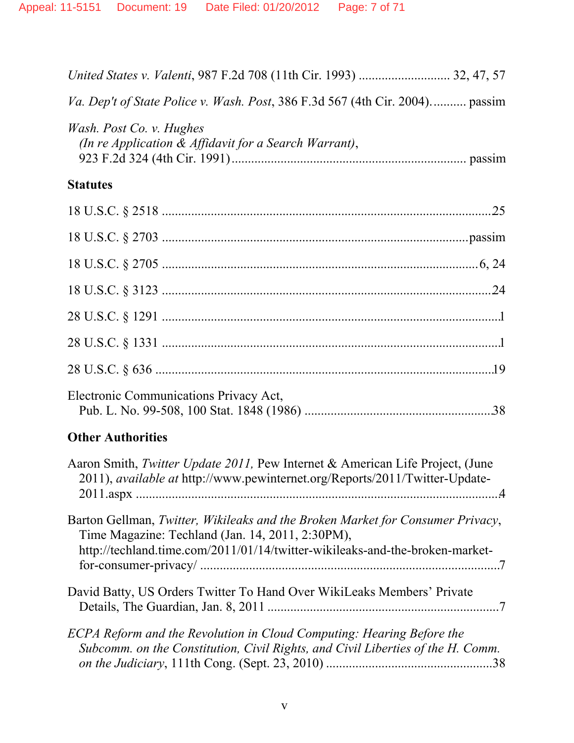| Va. Dep't of State Police v. Wash. Post, 386 F.3d 567 (4th Cir. 2004) passim                                                                                                                                       |
|--------------------------------------------------------------------------------------------------------------------------------------------------------------------------------------------------------------------|
| Wash. Post Co. v. Hughes<br>(In re Application & Affidavit for a Search Warrant),                                                                                                                                  |
| <b>Statutes</b>                                                                                                                                                                                                    |
|                                                                                                                                                                                                                    |
|                                                                                                                                                                                                                    |
|                                                                                                                                                                                                                    |
|                                                                                                                                                                                                                    |
|                                                                                                                                                                                                                    |
|                                                                                                                                                                                                                    |
|                                                                                                                                                                                                                    |
| Electronic Communications Privacy Act,                                                                                                                                                                             |
| <b>Other Authorities</b>                                                                                                                                                                                           |
| Aaron Smith, <i>Twitter Update 2011</i> , Pew Internet & American Life Project, (June<br>2011), available at http://www.pewinternet.org/Reports/2011/Twitter-Update-                                               |
| Barton Gellman, Twitter, Wikileaks and the Broken Market for Consumer Privacy,<br>Time Magazine: Techland (Jan. 14, 2011, 2:30PM),<br>http://techland.time.com/2011/01/14/twitter-wikileaks-and-the-broken-market- |
| David Batty, US Orders Twitter To Hand Over WikiLeaks Members' Private                                                                                                                                             |

*ECPA Reform and the Revolution in Cloud Computing: Hearing Before the Subcomm. on the Constitution, Civil Rights, and Civil Liberties of the H. Comm. on the Judiciary*, 111th Cong. (Sept. 23, 2010) ................................................... 38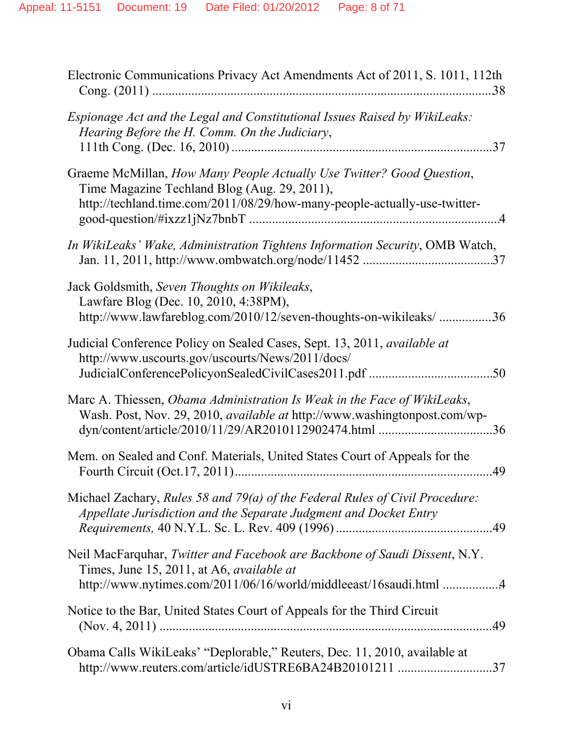| Electronic Communications Privacy Act Amendments Act of 2011, S. 1011, 112th                                                                                                                        |
|-----------------------------------------------------------------------------------------------------------------------------------------------------------------------------------------------------|
| Espionage Act and the Legal and Constitutional Issues Raised by WikiLeaks:<br>Hearing Before the H. Comm. On the Judiciary,<br>37                                                                   |
| Graeme McMillan, How Many People Actually Use Twitter? Good Question,<br>Time Magazine Techland Blog (Aug. 29, 2011),<br>http://techland.time.com/2011/08/29/how-many-people-actually-use-twitter-  |
| In WikiLeaks' Wake, Administration Tightens Information Security, OMB Watch,                                                                                                                        |
| Jack Goldsmith, Seven Thoughts on Wikileaks,<br>Lawfare Blog (Dec. 10, 2010, 4:38PM),<br>http://www.lawfareblog.com/2010/12/seven-thoughts-on-wikileaks/ 36                                         |
| Judicial Conference Policy on Sealed Cases, Sept. 13, 2011, available at<br>http://www.uscourts.gov/uscourts/News/2011/docs/                                                                        |
| Marc A. Thiessen, Obama Administration Is Weak in the Face of WikiLeaks,<br>Wash. Post, Nov. 29, 2010, <i>available at http://www.washingtonpost.com/wp-</i>                                        |
| Mem. on Sealed and Conf. Materials, United States Court of Appeals for the<br>.49                                                                                                                   |
| Michael Zachary, Rules 58 and 79(a) of the Federal Rules of Civil Procedure:<br>Appellate Jurisdiction and the Separate Judgment and Docket Entry                                                   |
| Neil MacFarquhar, Twitter and Facebook are Backbone of Saudi Dissent, N.Y.<br>Times, June 15, 2011, at A6, <i>available at</i><br>http://www.nytimes.com/2011/06/16/world/middleeast/16saudi.html 4 |
| Notice to the Bar, United States Court of Appeals for the Third Circuit                                                                                                                             |
| Obama Calls WikiLeaks' "Deplorable," Reuters, Dec. 11, 2010, available at<br>http://www.reuters.com/article/idUSTRE6BA24B20101211 37                                                                |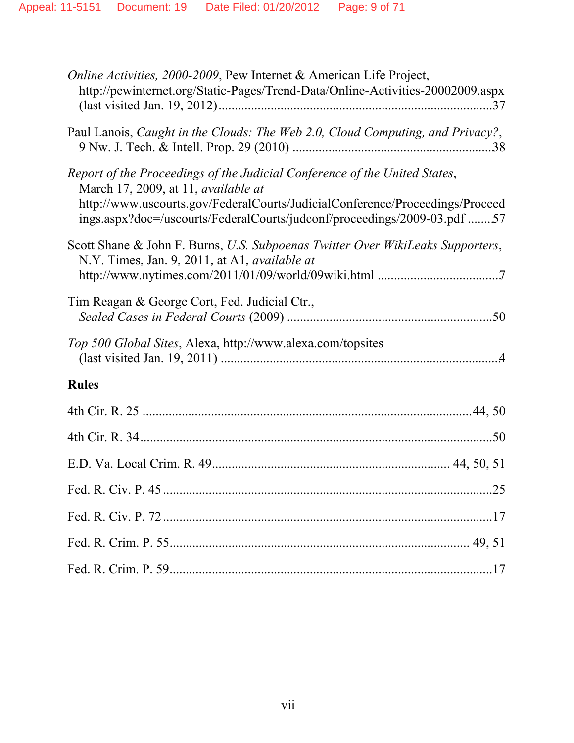| <i>Online Activities, 2000-2009, Pew Internet &amp; American Life Project,</i><br>http://pewinternet.org/Static-Pages/Trend-Data/Online-Activities-20002009.aspx                                                                                                                     |
|--------------------------------------------------------------------------------------------------------------------------------------------------------------------------------------------------------------------------------------------------------------------------------------|
| Paul Lanois, Caught in the Clouds: The Web 2.0, Cloud Computing, and Privacy?,                                                                                                                                                                                                       |
| Report of the Proceedings of the Judicial Conference of the United States,<br>March 17, 2009, at 11, <i>available at</i><br>http://www.uscourts.gov/FederalCourts/JudicialConference/Proceedings/Proceed<br>ings.aspx?doc=/uscourts/FederalCourts/judconf/proceedings/2009-03.pdf 57 |
| Scott Shane & John F. Burns, U.S. Subpoenas Twitter Over WikiLeaks Supporters,<br>N.Y. Times, Jan. 9, 2011, at A1, <i>available at</i>                                                                                                                                               |
| Tim Reagan & George Cort, Fed. Judicial Ctr.,                                                                                                                                                                                                                                        |
| Top 500 Global Sites, Alexa, http://www.alexa.com/topsites                                                                                                                                                                                                                           |
| <b>Rules</b>                                                                                                                                                                                                                                                                         |
|                                                                                                                                                                                                                                                                                      |
|                                                                                                                                                                                                                                                                                      |
|                                                                                                                                                                                                                                                                                      |
|                                                                                                                                                                                                                                                                                      |
|                                                                                                                                                                                                                                                                                      |
|                                                                                                                                                                                                                                                                                      |
|                                                                                                                                                                                                                                                                                      |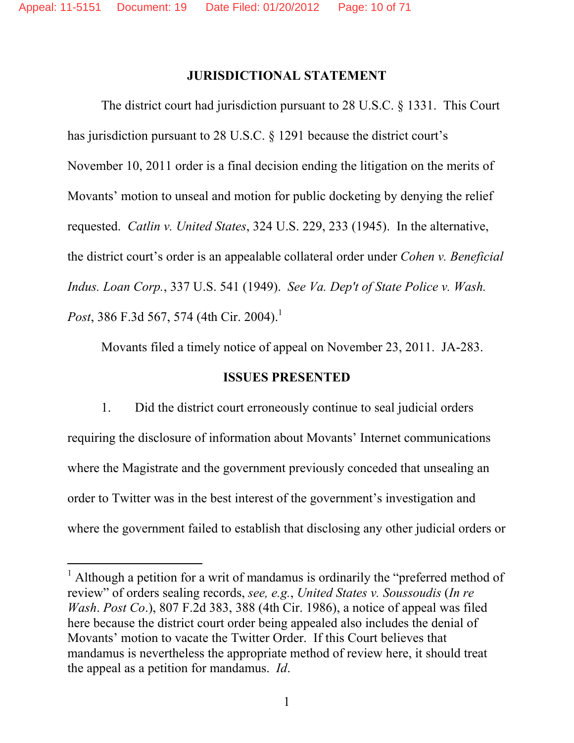#### **JURISDICTIONAL STATEMENT**

 The district court had jurisdiction pursuant to 28 U.S.C. § 1331. This Court has jurisdiction pursuant to 28 U.S.C. § 1291 because the district court's November 10, 2011 order is a final decision ending the litigation on the merits of Movants' motion to unseal and motion for public docketing by denying the relief requested. *Catlin v. United States*, 324 U.S. 229, 233 (1945). In the alternative, the district court's order is an appealable collateral order under *Cohen v. Beneficial Indus. Loan Corp.*, 337 U.S. 541 (1949). *See Va. Dep't of State Police v. Wash. Post*, 386 F.3d 567, 574 (4th Cir. 2004).<sup>1</sup>

Movants filed a timely notice of appeal on November 23, 2011. JA-283.

#### **ISSUES PRESENTED**

1. Did the district court erroneously continue to seal judicial orders requiring the disclosure of information about Movants' Internet communications where the Magistrate and the government previously conceded that unsealing an order to Twitter was in the best interest of the government's investigation and where the government failed to establish that disclosing any other judicial orders or

-

<sup>&</sup>lt;sup>1</sup> Although a petition for a writ of mandamus is ordinarily the "preferred method of review" of orders sealing records, *see, e.g.*, *United States v. Soussoudis* (*In re Wash*. *Post Co*.), 807 F.2d 383, 388 (4th Cir. 1986), a notice of appeal was filed here because the district court order being appealed also includes the denial of Movants' motion to vacate the Twitter Order. If this Court believes that mandamus is nevertheless the appropriate method of review here, it should treat the appeal as a petition for mandamus. *Id*.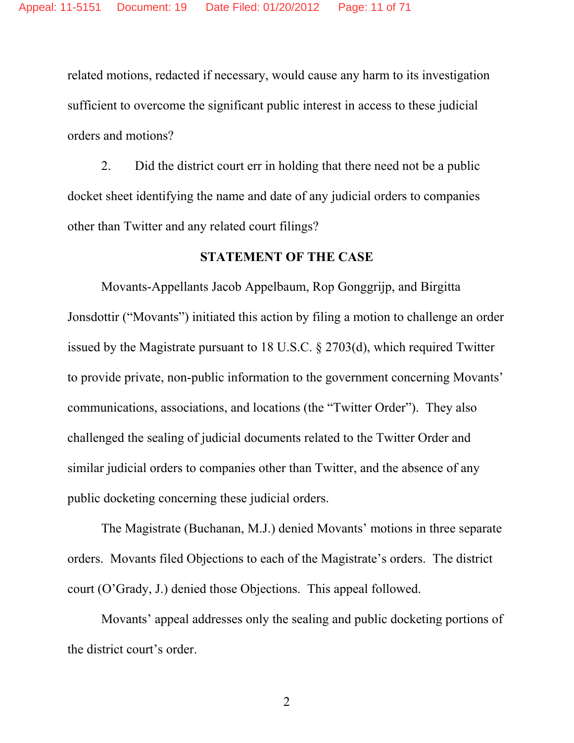related motions, redacted if necessary, would cause any harm to its investigation sufficient to overcome the significant public interest in access to these judicial orders and motions?

2. Did the district court err in holding that there need not be a public docket sheet identifying the name and date of any judicial orders to companies other than Twitter and any related court filings?

#### **STATEMENT OF THE CASE**

Movants-Appellants Jacob Appelbaum, Rop Gonggrijp, and Birgitta Jonsdottir ("Movants") initiated this action by filing a motion to challenge an order issued by the Magistrate pursuant to 18 U.S.C. § 2703(d), which required Twitter to provide private, non-public information to the government concerning Movants' communications, associations, and locations (the "Twitter Order"). They also challenged the sealing of judicial documents related to the Twitter Order and similar judicial orders to companies other than Twitter, and the absence of any public docketing concerning these judicial orders.

The Magistrate (Buchanan, M.J.) denied Movants' motions in three separate orders. Movants filed Objections to each of the Magistrate's orders. The district court (O'Grady, J.) denied those Objections. This appeal followed.

Movants' appeal addresses only the sealing and public docketing portions of the district court's order.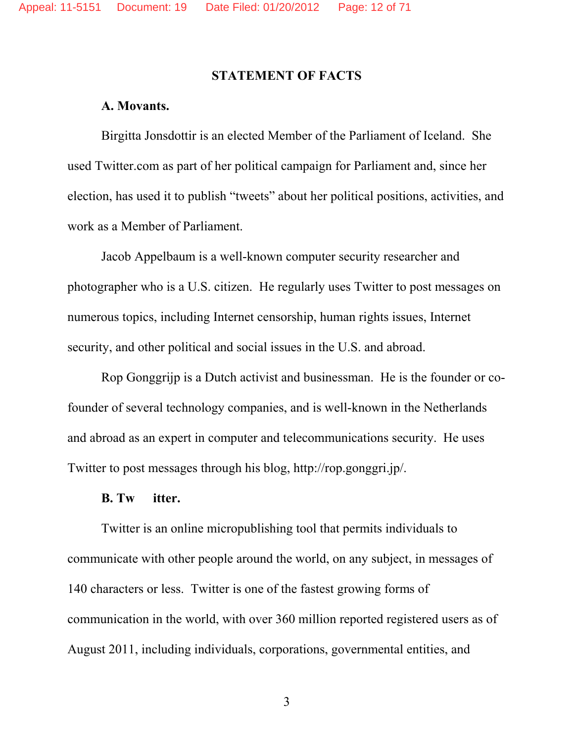#### **STATEMENT OF FACTS**

## **A. Movants.**

 Birgitta Jonsdottir is an elected Member of the Parliament of Iceland. She used Twitter.com as part of her political campaign for Parliament and, since her election, has used it to publish "tweets" about her political positions, activities, and work as a Member of Parliament.

Jacob Appelbaum is a well-known computer security researcher and photographer who is a U.S. citizen. He regularly uses Twitter to post messages on numerous topics, including Internet censorship, human rights issues, Internet security, and other political and social issues in the U.S. and abroad.

 Rop Gonggrijp is a Dutch activist and businessman. He is the founder or cofounder of several technology companies, and is well-known in the Netherlands and abroad as an expert in computer and telecommunications security. He uses Twitter to post messages through his blog, http://rop.gonggri.jp/.

#### **B. Tw itter.**

Twitter is an online micropublishing tool that permits individuals to communicate with other people around the world, on any subject, in messages of 140 characters or less. Twitter is one of the fastest growing forms of communication in the world, with over 360 million reported registered users as of August 2011, including individuals, corporations, governmental entities, and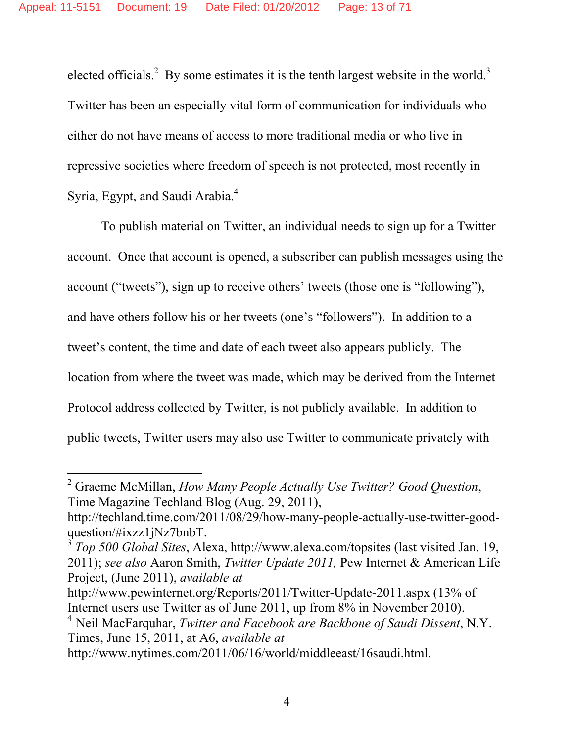elected officials.<sup>2</sup> By some estimates it is the tenth largest website in the world.<sup>3</sup> Twitter has been an especially vital form of communication for individuals who either do not have means of access to more traditional media or who live in repressive societies where freedom of speech is not protected, most recently in Syria, Egypt, and Saudi Arabia.<sup>4</sup>

 To publish material on Twitter, an individual needs to sign up for a Twitter account. Once that account is opened, a subscriber can publish messages using the account ("tweets"), sign up to receive others' tweets (those one is "following"), and have others follow his or her tweets (one's "followers"). In addition to a tweet's content, the time and date of each tweet also appears publicly. The location from where the tweet was made, which may be derived from the Internet Protocol address collected by Twitter, is not publicly available. In addition to public tweets, Twitter users may also use Twitter to communicate privately with

 $\overline{a}$ 

<sup>2</sup> Graeme McMillan, *How Many People Actually Use Twitter? Good Question*, Time Magazine Techland Blog (Aug. 29, 2011),

http://techland.time.com/2011/08/29/how-many-people-actually-use-twitter-goodquestion/#ixzz1jNz7bnbT.

<sup>3</sup> *Top 500 Global Sites*, Alexa, http://www.alexa.com/topsites (last visited Jan. 19, 2011); *see also* Aaron Smith, *Twitter Update 2011,* Pew Internet & American Life Project, (June 2011), *available at*

http://www.pewinternet.org/Reports/2011/Twitter-Update-2011.aspx (13% of Internet users use Twitter as of June 2011, up from 8% in November 2010).

<sup>4</sup> Neil MacFarquhar, *Twitter and Facebook are Backbone of Saudi Dissent*, N.Y. Times, June 15, 2011, at A6, *available at*

http://www.nytimes.com/2011/06/16/world/middleeast/16saudi.html.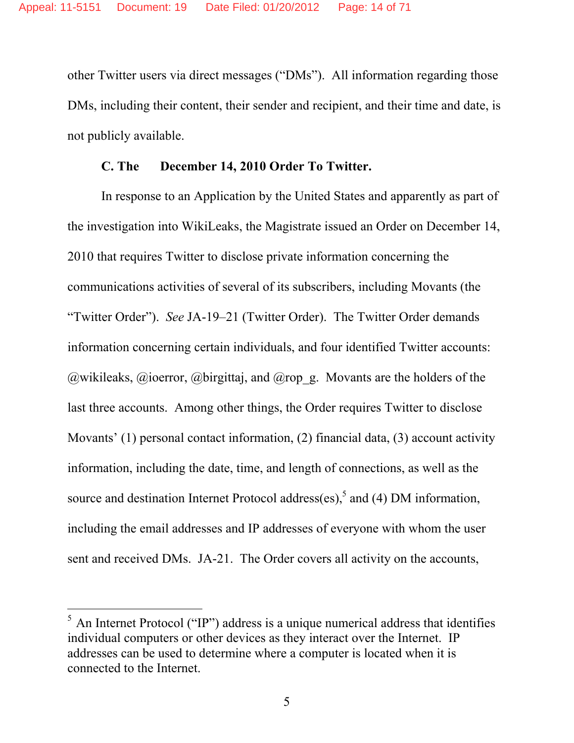other Twitter users via direct messages ("DMs"). All information regarding those DMs, including their content, their sender and recipient, and their time and date, is not publicly available.

### **C. The December 14, 2010 Order To Twitter.**

In response to an Application by the United States and apparently as part of the investigation into WikiLeaks, the Magistrate issued an Order on December 14, 2010 that requires Twitter to disclose private information concerning the communications activities of several of its subscribers, including Movants (the "Twitter Order"). *See* JA-19–21 (Twitter Order). The Twitter Order demands information concerning certain individuals, and four identified Twitter accounts:  $\omega$ wikileaks,  $\omega$ ioerror,  $\omega$ birgittaj, and  $\omega$ rop\_g. Movants are the holders of the last three accounts. Among other things, the Order requires Twitter to disclose Movants' (1) personal contact information, (2) financial data, (3) account activity information, including the date, time, and length of connections, as well as the source and destination Internet Protocol address(es),<sup>5</sup> and (4) DM information, including the email addresses and IP addresses of everyone with whom the user sent and received DMs. JA-21. The Order covers all activity on the accounts,

-

 $<sup>5</sup>$  An Internet Protocol ("IP") address is a unique numerical address that identifies</sup> individual computers or other devices as they interact over the Internet. IP addresses can be used to determine where a computer is located when it is connected to the Internet.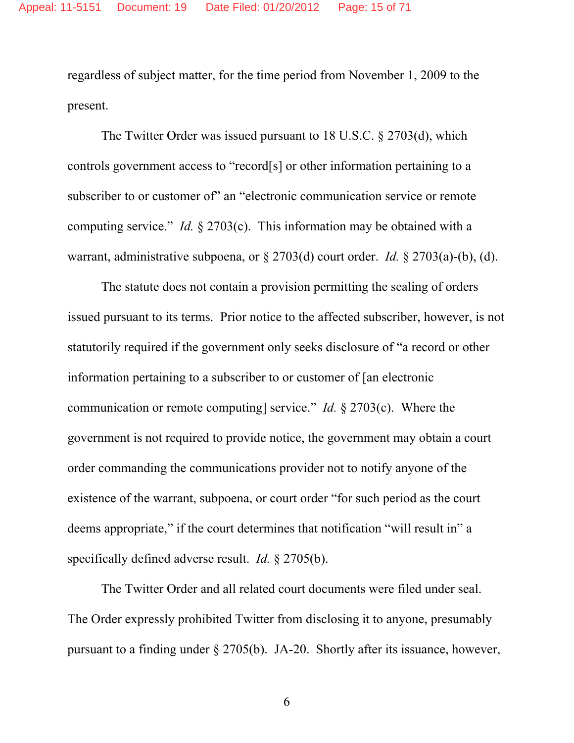regardless of subject matter, for the time period from November 1, 2009 to the present.

The Twitter Order was issued pursuant to 18 U.S.C. § 2703(d), which controls government access to "record[s] or other information pertaining to a subscriber to or customer of an "electronic communication service or remote computing service." *Id.* § 2703(c). This information may be obtained with a warrant, administrative subpoena, or § 2703(d) court order. *Id.* § 2703(a)-(b), (d).

The statute does not contain a provision permitting the sealing of orders issued pursuant to its terms. Prior notice to the affected subscriber, however, is not statutorily required if the government only seeks disclosure of "a record or other information pertaining to a subscriber to or customer of [an electronic communication or remote computing] service." *Id.* § 2703(c). Where the government is not required to provide notice, the government may obtain a court order commanding the communications provider not to notify anyone of the existence of the warrant, subpoena, or court order "for such period as the court deems appropriate," if the court determines that notification "will result in" a specifically defined adverse result. *Id.* § 2705(b).

The Twitter Order and all related court documents were filed under seal. The Order expressly prohibited Twitter from disclosing it to anyone, presumably pursuant to a finding under § 2705(b). JA-20. Shortly after its issuance, however,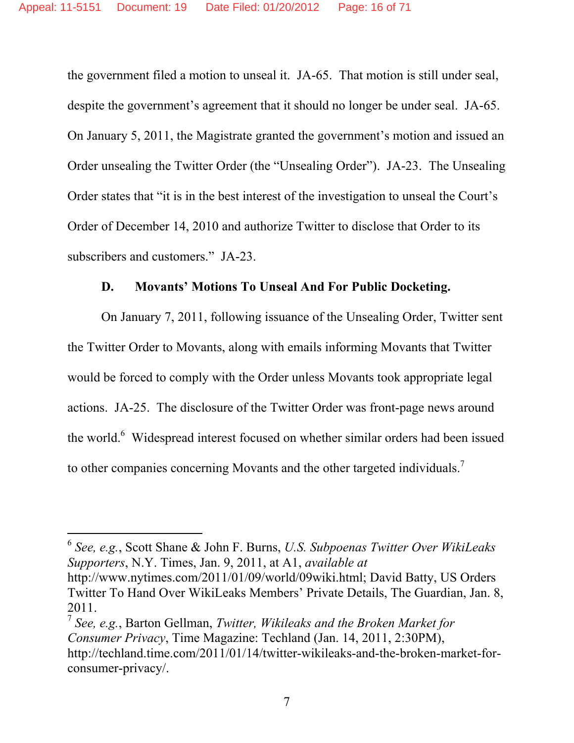the government filed a motion to unseal it. JA-65. That motion is still under seal, despite the government's agreement that it should no longer be under seal. JA-65. On January 5, 2011, the Magistrate granted the government's motion and issued an Order unsealing the Twitter Order (the "Unsealing Order"). JA-23. The Unsealing Order states that "it is in the best interest of the investigation to unseal the Court's Order of December 14, 2010 and authorize Twitter to disclose that Order to its subscribers and customers." JA-23.

### **D. Movants' Motions To Unseal And For Public Docketing.**

On January 7, 2011, following issuance of the Unsealing Order, Twitter sent the Twitter Order to Movants, along with emails informing Movants that Twitter would be forced to comply with the Order unless Movants took appropriate legal actions. JA-25. The disclosure of the Twitter Order was front-page news around the world.<sup>6</sup> Widespread interest focused on whether similar orders had been issued to other companies concerning Movants and the other targeted individuals.<sup>7</sup>

 $\overline{a}$ 

Twitter To Hand Over WikiLeaks Members' Private Details, The Guardian, Jan. 8, 2011.

<sup>7</sup> *See, e.g.*, Barton Gellman, *Twitter, Wikileaks and the Broken Market for Consumer Privacy*, Time Magazine: Techland (Jan. 14, 2011, 2:30PM), http://techland.time.com/2011/01/14/twitter-wikileaks-and-the-broken-market-forconsumer-privacy/.

<sup>6</sup> *See, e.g.*, Scott Shane & John F. Burns, *U.S. Subpoenas Twitter Over WikiLeaks Supporters*, N.Y. Times, Jan. 9, 2011, at A1, *available at* http://www.nytimes.com/2011/01/09/world/09wiki.html; David Batty, US Orders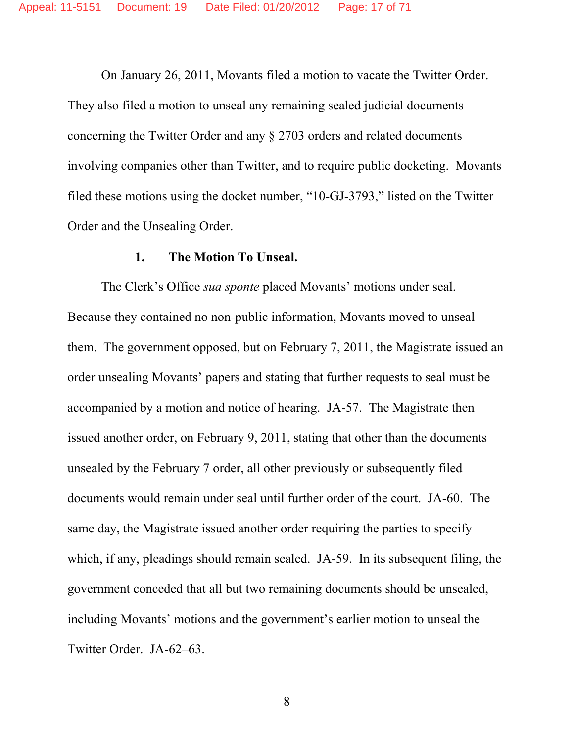On January 26, 2011, Movants filed a motion to vacate the Twitter Order. They also filed a motion to unseal any remaining sealed judicial documents concerning the Twitter Order and any § 2703 orders and related documents involving companies other than Twitter, and to require public docketing. Movants filed these motions using the docket number, "10-GJ-3793," listed on the Twitter Order and the Unsealing Order.

#### **1. The Motion To Unseal.**

The Clerk's Office *sua sponte* placed Movants' motions under seal. Because they contained no non-public information, Movants moved to unseal them. The government opposed, but on February 7, 2011, the Magistrate issued an order unsealing Movants' papers and stating that further requests to seal must be accompanied by a motion and notice of hearing. JA-57. The Magistrate then issued another order, on February 9, 2011, stating that other than the documents unsealed by the February 7 order, all other previously or subsequently filed documents would remain under seal until further order of the court. JA-60. The same day, the Magistrate issued another order requiring the parties to specify which, if any, pleadings should remain sealed. JA-59. In its subsequent filing, the government conceded that all but two remaining documents should be unsealed, including Movants' motions and the government's earlier motion to unseal the Twitter Order. JA-62–63.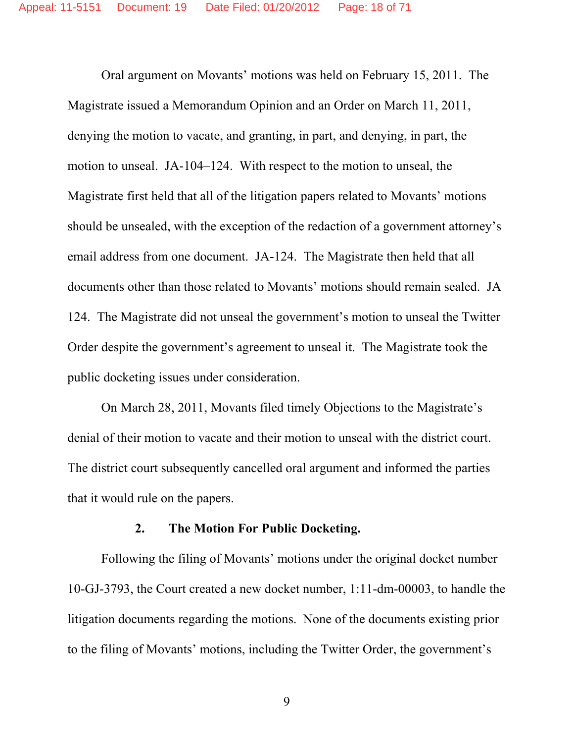Oral argument on Movants' motions was held on February 15, 2011. The Magistrate issued a Memorandum Opinion and an Order on March 11, 2011, denying the motion to vacate, and granting, in part, and denying, in part, the motion to unseal. JA-104–124. With respect to the motion to unseal, the Magistrate first held that all of the litigation papers related to Movants' motions should be unsealed, with the exception of the redaction of a government attorney's email address from one document. JA-124. The Magistrate then held that all documents other than those related to Movants' motions should remain sealed. JA 124. The Magistrate did not unseal the government's motion to unseal the Twitter Order despite the government's agreement to unseal it. The Magistrate took the public docketing issues under consideration.

On March 28, 2011, Movants filed timely Objections to the Magistrate's denial of their motion to vacate and their motion to unseal with the district court. The district court subsequently cancelled oral argument and informed the parties that it would rule on the papers.

### **2. The Motion For Public Docketing.**

Following the filing of Movants' motions under the original docket number 10-GJ-3793, the Court created a new docket number, 1:11-dm-00003, to handle the litigation documents regarding the motions. None of the documents existing prior to the filing of Movants' motions, including the Twitter Order, the government's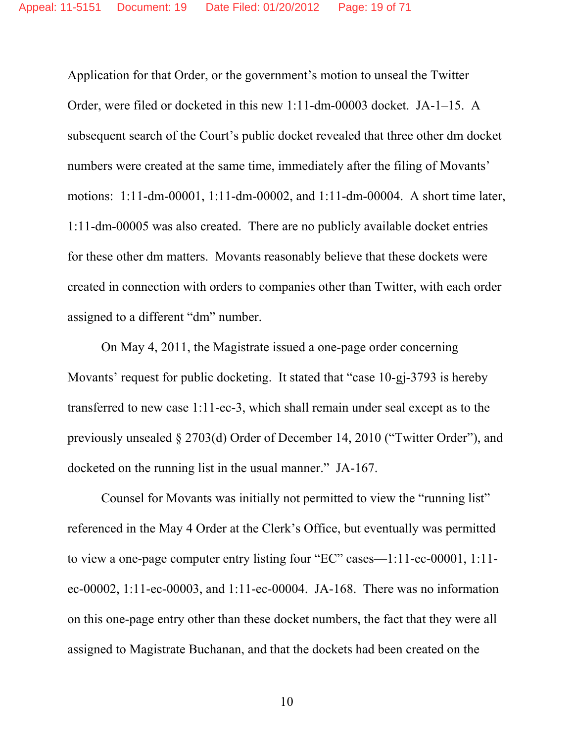Application for that Order, or the government's motion to unseal the Twitter Order, were filed or docketed in this new 1:11-dm-00003 docket. JA-1–15. A subsequent search of the Court's public docket revealed that three other dm docket numbers were created at the same time, immediately after the filing of Movants' motions: 1:11-dm-00001, 1:11-dm-00002, and 1:11-dm-00004. A short time later, 1:11-dm-00005 was also created. There are no publicly available docket entries for these other dm matters. Movants reasonably believe that these dockets were created in connection with orders to companies other than Twitter, with each order assigned to a different "dm" number.

On May 4, 2011, the Magistrate issued a one-page order concerning Movants' request for public docketing. It stated that "case 10-gj-3793 is hereby transferred to new case 1:11-ec-3, which shall remain under seal except as to the previously unsealed § 2703(d) Order of December 14, 2010 ("Twitter Order"), and docketed on the running list in the usual manner." JA-167.

Counsel for Movants was initially not permitted to view the "running list" referenced in the May 4 Order at the Clerk's Office, but eventually was permitted to view a one-page computer entry listing four "EC" cases—1:11-ec-00001, 1:11 ec-00002, 1:11-ec-00003, and 1:11-ec-00004. JA-168. There was no information on this one-page entry other than these docket numbers, the fact that they were all assigned to Magistrate Buchanan, and that the dockets had been created on the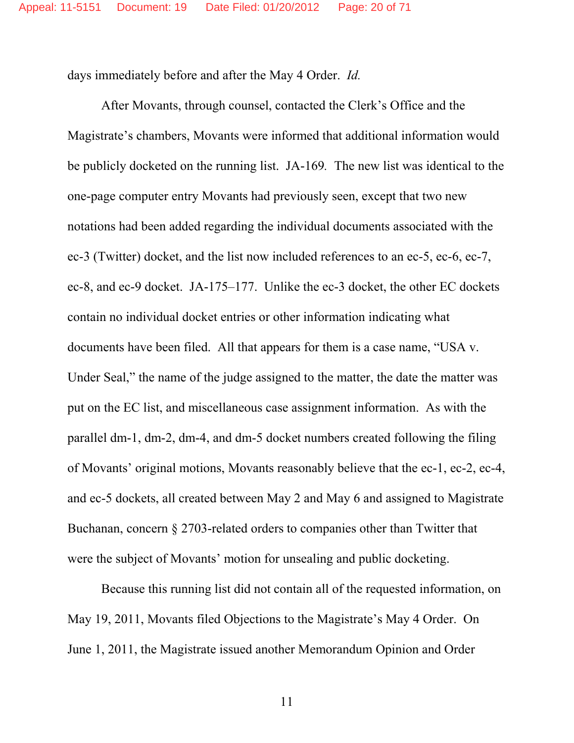days immediately before and after the May 4 Order. *Id.*

After Movants, through counsel, contacted the Clerk's Office and the Magistrate's chambers, Movants were informed that additional information would be publicly docketed on the running list. JA-169*.* The new list was identical to the one-page computer entry Movants had previously seen, except that two new notations had been added regarding the individual documents associated with the ec-3 (Twitter) docket, and the list now included references to an ec-5, ec-6, ec-7, ec-8, and ec-9 docket. JA-175–177. Unlike the ec-3 docket, the other EC dockets contain no individual docket entries or other information indicating what documents have been filed. All that appears for them is a case name, "USA v. Under Seal," the name of the judge assigned to the matter, the date the matter was put on the EC list, and miscellaneous case assignment information. As with the parallel dm-1, dm-2, dm-4, and dm-5 docket numbers created following the filing of Movants' original motions, Movants reasonably believe that the ec-1, ec-2, ec-4, and ec-5 dockets, all created between May 2 and May 6 and assigned to Magistrate Buchanan, concern § 2703-related orders to companies other than Twitter that were the subject of Movants' motion for unsealing and public docketing.

Because this running list did not contain all of the requested information, on May 19, 2011, Movants filed Objections to the Magistrate's May 4 Order. On June 1, 2011, the Magistrate issued another Memorandum Opinion and Order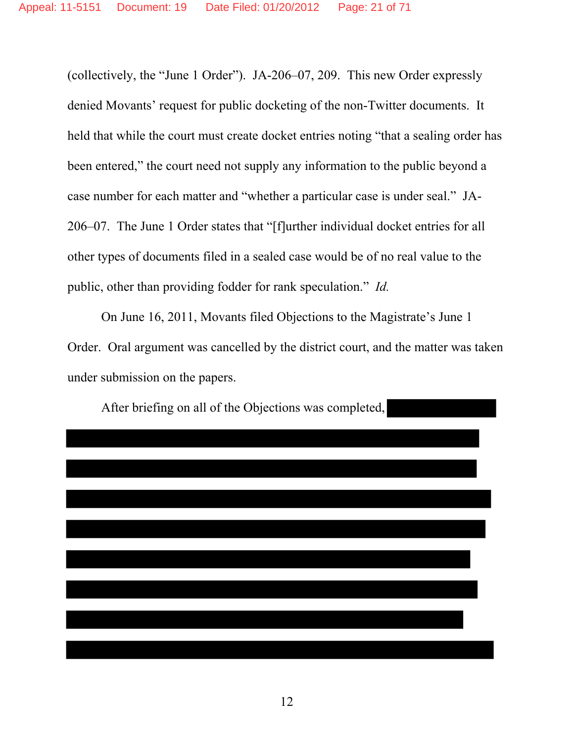(collectively, the "June 1 Order"). JA-206–07, 209. This new Order expressly denied Movants' request for public docketing of the non-Twitter documents. It held that while the court must create docket entries noting "that a sealing order has been entered," the court need not supply any information to the public beyond a case number for each matter and "whether a particular case is under seal." JA-206–07. The June 1 Order states that "[f]urther individual docket entries for all other types of documents filed in a sealed case would be of no real value to the public, other than providing fodder for rank speculation." *Id.*

On June 16, 2011, Movants filed Objections to the Magistrate's June 1 Order. Oral argument was cancelled by the district court, and the matter was taken under submission on the papers.



After briefing on all of the Objections was completed,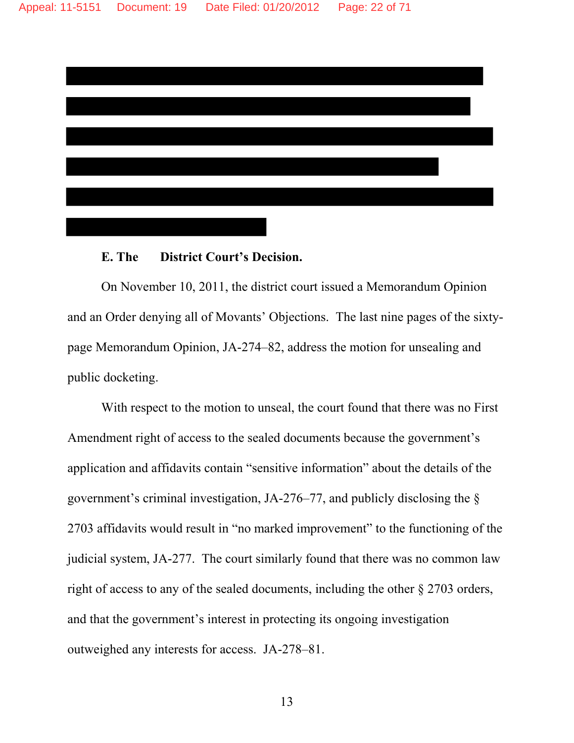

#### **E. The District Court's Decision.**

 On November 10, 2011, the district court issued a Memorandum Opinion and an Order denying all of Movants' Objections. The last nine pages of the sixtypage Memorandum Opinion, JA-274–82, address the motion for unsealing and public docketing.

With respect to the motion to unseal, the court found that there was no First Amendment right of access to the sealed documents because the government's application and affidavits contain "sensitive information" about the details of the government's criminal investigation, JA-276–77, and publicly disclosing the § 2703 affidavits would result in "no marked improvement" to the functioning of the judicial system, JA-277. The court similarly found that there was no common law right of access to any of the sealed documents, including the other § 2703 orders, and that the government's interest in protecting its ongoing investigation outweighed any interests for access. JA-278–81.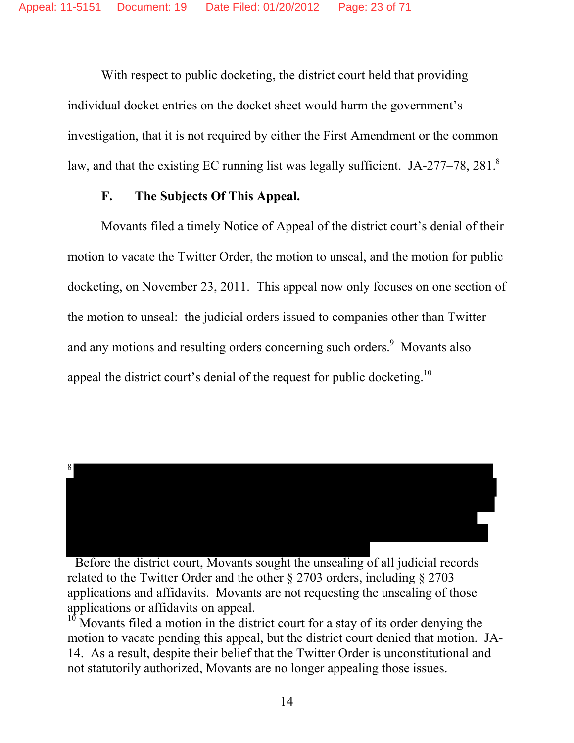With respect to public docketing, the district court held that providing individual docket entries on the docket sheet would harm the government's investigation, that it is not required by either the First Amendment or the common law, and that the existing EC running list was legally sufficient. JA-277–78, 281.<sup>8</sup>

### **F. The Subjects Of This Appeal.**

Movants filed a timely Notice of Appeal of the district court's denial of their motion to vacate the Twitter Order, the motion to unseal, and the motion for public docketing, on November 23, 2011. This appeal now only focuses on one section of the motion to unseal: the judicial orders issued to companies other than Twitter and any motions and resulting orders concerning such orders.<sup>9</sup> Movants also appeal the district court's denial of the request for public docketing.10



 Before the district court, Movants sought the unsealing of all judicial records related to the Twitter Order and the other § 2703 orders, including § 2703 applications and affidavits. Movants are not requesting the unsealing of those applications or affidavits on appeal.

 $10$  Movants filed a motion in the district court for a stay of its order denying the motion to vacate pending this appeal, but the district court denied that motion. JA-14. As a result, despite their belief that the Twitter Order is unconstitutional and not statutorily authorized, Movants are no longer appealing those issues.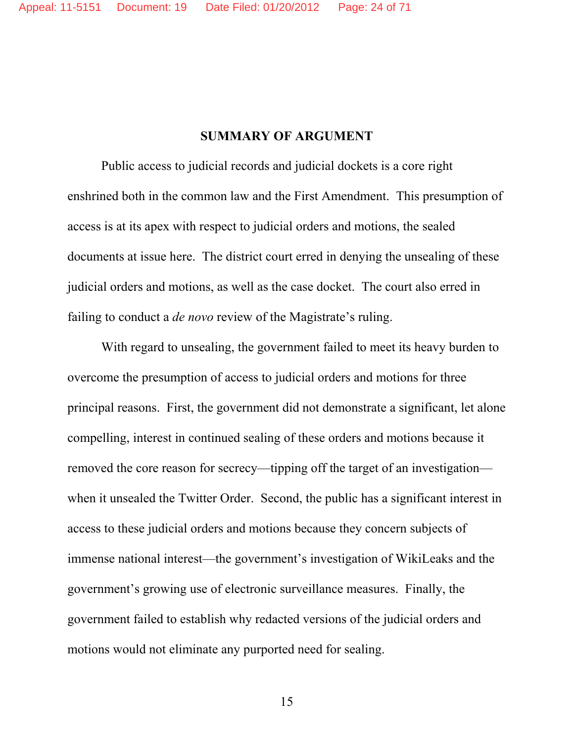#### **SUMMARY OF ARGUMENT**

Public access to judicial records and judicial dockets is a core right enshrined both in the common law and the First Amendment. This presumption of access is at its apex with respect to judicial orders and motions, the sealed documents at issue here. The district court erred in denying the unsealing of these judicial orders and motions, as well as the case docket. The court also erred in failing to conduct a *de novo* review of the Magistrate's ruling.

 With regard to unsealing, the government failed to meet its heavy burden to overcome the presumption of access to judicial orders and motions for three principal reasons. First, the government did not demonstrate a significant, let alone compelling, interest in continued sealing of these orders and motions because it removed the core reason for secrecy—tipping off the target of an investigation when it unsealed the Twitter Order. Second, the public has a significant interest in access to these judicial orders and motions because they concern subjects of immense national interest—the government's investigation of WikiLeaks and the government's growing use of electronic surveillance measures. Finally, the government failed to establish why redacted versions of the judicial orders and motions would not eliminate any purported need for sealing.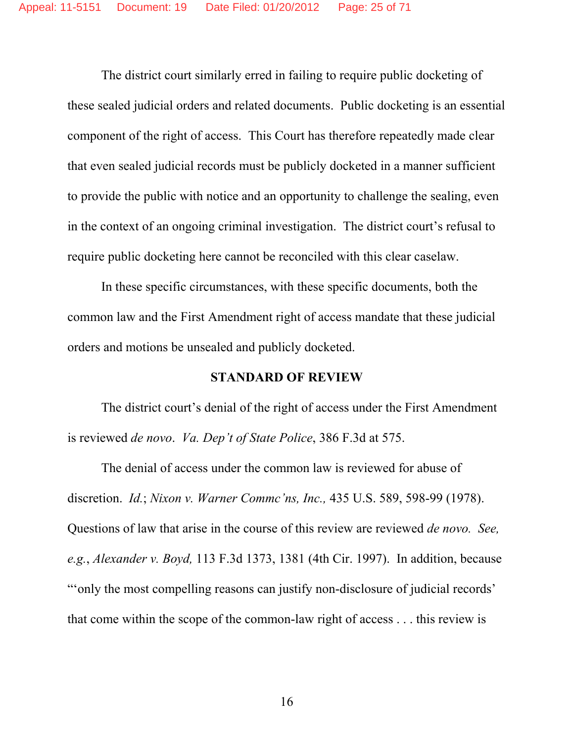The district court similarly erred in failing to require public docketing of these sealed judicial orders and related documents. Public docketing is an essential component of the right of access. This Court has therefore repeatedly made clear that even sealed judicial records must be publicly docketed in a manner sufficient to provide the public with notice and an opportunity to challenge the sealing, even in the context of an ongoing criminal investigation. The district court's refusal to require public docketing here cannot be reconciled with this clear caselaw.

In these specific circumstances, with these specific documents, both the common law and the First Amendment right of access mandate that these judicial orders and motions be unsealed and publicly docketed.

#### **STANDARD OF REVIEW**

The district court's denial of the right of access under the First Amendment is reviewed *de novo*. *Va. Dep't of State Police*, 386 F.3d at 575.

The denial of access under the common law is reviewed for abuse of discretion. *Id.*; *Nixon v. Warner Commc'ns, Inc.,* 435 U.S. 589, 598-99 (1978). Questions of law that arise in the course of this review are reviewed *de novo. See, e.g.*, *Alexander v. Boyd,* 113 F.3d 1373, 1381 (4th Cir. 1997). In addition, because "'only the most compelling reasons can justify non-disclosure of judicial records' that come within the scope of the common-law right of access . . . this review is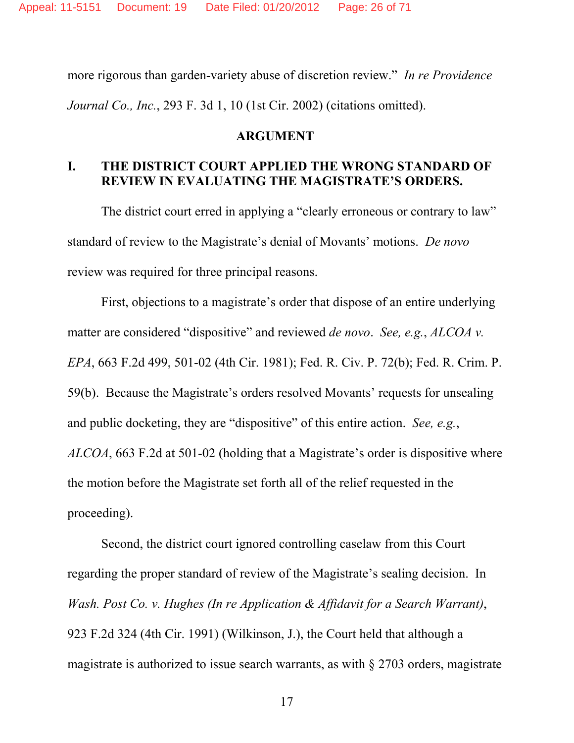more rigorous than garden-variety abuse of discretion review." *In re Providence Journal Co., Inc.*, 293 F. 3d 1, 10 (1st Cir. 2002) (citations omitted).

#### **ARGUMENT**

## **I. THE DISTRICT COURT APPLIED THE WRONG STANDARD OF REVIEW IN EVALUATING THE MAGISTRATE'S ORDERS.**

The district court erred in applying a "clearly erroneous or contrary to law" standard of review to the Magistrate's denial of Movants' motions. *De novo*  review was required for three principal reasons.

First, objections to a magistrate's order that dispose of an entire underlying matter are considered "dispositive" and reviewed *de novo*. *See, e.g.*, *ALCOA v. EPA*, 663 F.2d 499, 501-02 (4th Cir. 1981); Fed. R. Civ. P. 72(b); Fed. R. Crim. P. 59(b). Because the Magistrate's orders resolved Movants' requests for unsealing and public docketing, they are "dispositive" of this entire action. *See, e.g.*, *ALCOA*, 663 F.2d at 501-02 (holding that a Magistrate's order is dispositive where the motion before the Magistrate set forth all of the relief requested in the proceeding).

Second, the district court ignored controlling caselaw from this Court regarding the proper standard of review of the Magistrate's sealing decision. In *Wash. Post Co. v. Hughes (In re Application & Affidavit for a Search Warrant)*, 923 F.2d 324 (4th Cir. 1991) (Wilkinson, J.), the Court held that although a magistrate is authorized to issue search warrants, as with § 2703 orders, magistrate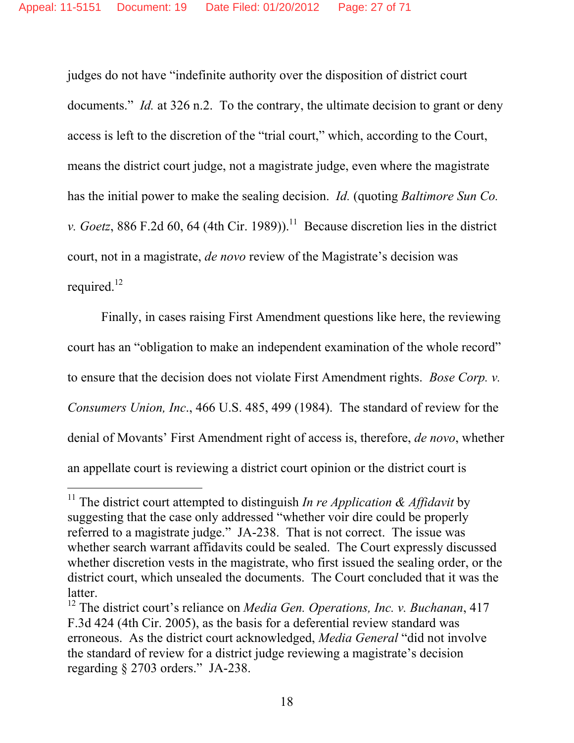judges do not have "indefinite authority over the disposition of district court documents." *Id.* at 326 n.2. To the contrary, the ultimate decision to grant or deny access is left to the discretion of the "trial court," which, according to the Court, means the district court judge, not a magistrate judge, even where the magistrate has the initial power to make the sealing decision. *Id.* (quoting *Baltimore Sun Co. v. Goetz*, 886 F.2d 60, 64 (4th Cir. 1989)).<sup>11</sup> Because discretion lies in the district court, not in a magistrate, *de novo* review of the Magistrate's decision was required.<sup>12</sup>

Finally, in cases raising First Amendment questions like here, the reviewing court has an "obligation to make an independent examination of the whole record" to ensure that the decision does not violate First Amendment rights. *Bose Corp. v. Consumers Union, Inc*., 466 U.S. 485, 499 (1984). The standard of review for the denial of Movants' First Amendment right of access is, therefore, *de novo*, whether an appellate court is reviewing a district court opinion or the district court is

-

<sup>&</sup>lt;sup>11</sup> The district court attempted to distinguish *In re Application & Affidavit* by suggesting that the case only addressed "whether voir dire could be properly referred to a magistrate judge." JA-238. That is not correct. The issue was whether search warrant affidavits could be sealed. The Court expressly discussed whether discretion vests in the magistrate, who first issued the sealing order, or the district court, which unsealed the documents. The Court concluded that it was the latter.

<sup>12</sup> The district court's reliance on *Media Gen. Operations, Inc. v. Buchanan*, 417 F.3d 424 (4th Cir. 2005), as the basis for a deferential review standard was erroneous. As the district court acknowledged, *Media General* "did not involve the standard of review for a district judge reviewing a magistrate's decision regarding § 2703 orders." JA-238.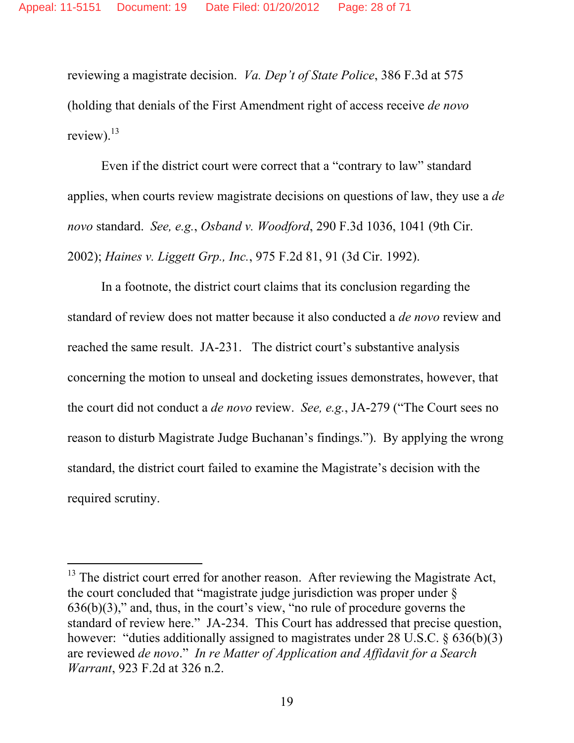reviewing a magistrate decision. *Va. Dep't of State Police*, 386 F.3d at 575 (holding that denials of the First Amendment right of access receive *de novo* review). $^{13}$ 

Even if the district court were correct that a "contrary to law" standard applies, when courts review magistrate decisions on questions of law, they use a *de novo* standard. *See, e.g.*, *Osband v. Woodford*, 290 F.3d 1036, 1041 (9th Cir. 2002); *Haines v. Liggett Grp., Inc.*, 975 F.2d 81, 91 (3d Cir. 1992).

In a footnote, the district court claims that its conclusion regarding the standard of review does not matter because it also conducted a *de novo* review and reached the same result. JA-231. The district court's substantive analysis concerning the motion to unseal and docketing issues demonstrates, however, that the court did not conduct a *de novo* review. *See, e.g.*, JA-279 ("The Court sees no reason to disturb Magistrate Judge Buchanan's findings."). By applying the wrong standard, the district court failed to examine the Magistrate's decision with the required scrutiny.

-

 $13$  The district court erred for another reason. After reviewing the Magistrate Act, the court concluded that "magistrate judge jurisdiction was proper under §  $636(b)(3)$ ," and, thus, in the court's view, "no rule of procedure governs the standard of review here." JA-234. This Court has addressed that precise question, however: "duties additionally assigned to magistrates under 28 U.S.C. § 636(b)(3) are reviewed *de novo*." *In re Matter of Application and Affidavit for a Search Warrant*, 923 F.2d at 326 n.2.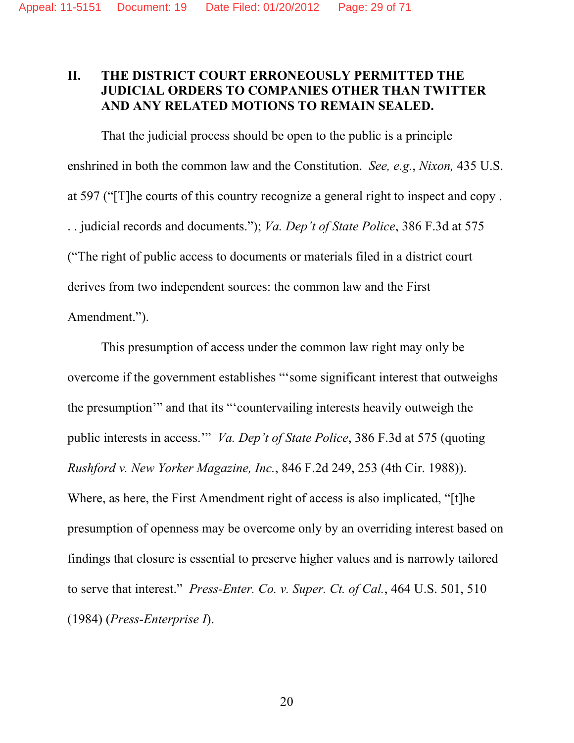## **II. THE DISTRICT COURT ERRONEOUSLY PERMITTED THE JUDICIAL ORDERS TO COMPANIES OTHER THAN TWITTER AND ANY RELATED MOTIONS TO REMAIN SEALED.**

That the judicial process should be open to the public is a principle enshrined in both the common law and the Constitution. *See, e.g.*, *Nixon,* 435 U.S. at 597 ("[T]he courts of this country recognize a general right to inspect and copy . . . judicial records and documents."); *Va. Dep't of State Police*, 386 F.3d at 575 ("The right of public access to documents or materials filed in a district court derives from two independent sources: the common law and the First Amendment.").

This presumption of access under the common law right may only be overcome if the government establishes "'some significant interest that outweighs the presumption'" and that its "'countervailing interests heavily outweigh the public interests in access.'" *Va. Dep't of State Police*, 386 F.3d at 575 (quoting *Rushford v. New Yorker Magazine, Inc.*, 846 F.2d 249, 253 (4th Cir. 1988)). Where, as here, the First Amendment right of access is also implicated, "[t]he presumption of openness may be overcome only by an overriding interest based on findings that closure is essential to preserve higher values and is narrowly tailored to serve that interest." *Press-Enter. Co. v. Super. Ct. of Cal.*, 464 U.S. 501, 510 (1984) (*Press-Enterprise I*).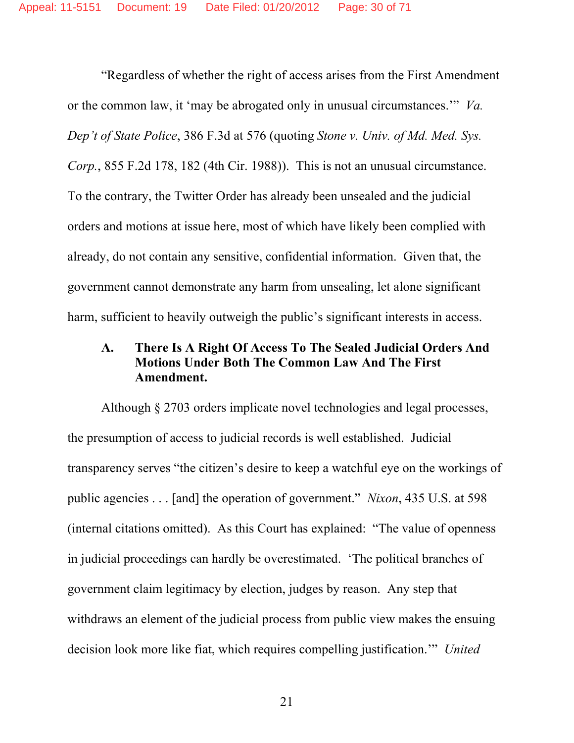"Regardless of whether the right of access arises from the First Amendment or the common law, it 'may be abrogated only in unusual circumstances.'" *Va. Dep't of State Police*, 386 F.3d at 576 (quoting *Stone v. Univ. of Md. Med. Sys. Corp.*, 855 F.2d 178, 182 (4th Cir. 1988)). This is not an unusual circumstance. To the contrary, the Twitter Order has already been unsealed and the judicial orders and motions at issue here, most of which have likely been complied with already, do not contain any sensitive, confidential information. Given that, the government cannot demonstrate any harm from unsealing, let alone significant harm, sufficient to heavily outweigh the public's significant interests in access.

## **A. There Is A Right Of Access To The Sealed Judicial Orders And Motions Under Both The Common Law And The First Amendment.**

Although § 2703 orders implicate novel technologies and legal processes, the presumption of access to judicial records is well established. Judicial transparency serves "the citizen's desire to keep a watchful eye on the workings of public agencies . . . [and] the operation of government." *Nixon*, 435 U.S. at 598 (internal citations omitted). As this Court has explained: "The value of openness in judicial proceedings can hardly be overestimated. 'The political branches of government claim legitimacy by election, judges by reason. Any step that withdraws an element of the judicial process from public view makes the ensuing decision look more like fiat, which requires compelling justification.'" *United*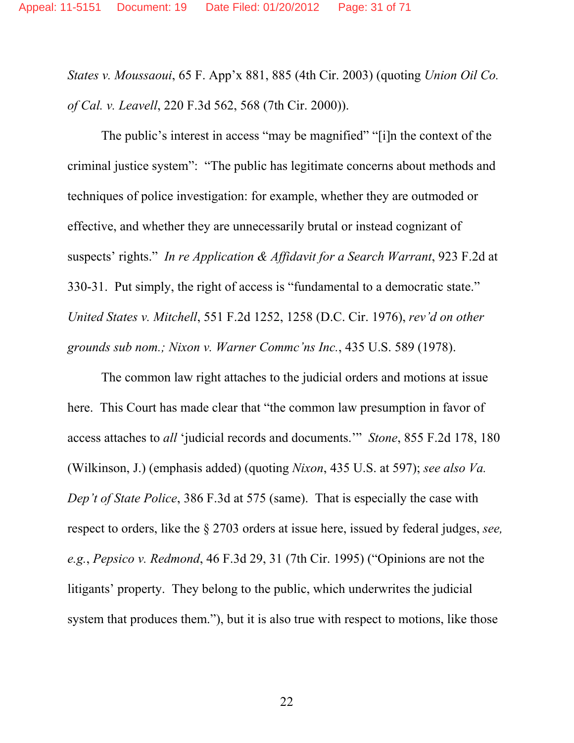*States v. Moussaoui*, 65 F. App'x 881, 885 (4th Cir. 2003) (quoting *Union Oil Co. of Cal. v. Leavell*, 220 F.3d 562, 568 (7th Cir. 2000)).

The public's interest in access "may be magnified" "[i]n the context of the criminal justice system": "The public has legitimate concerns about methods and techniques of police investigation: for example, whether they are outmoded or effective, and whether they are unnecessarily brutal or instead cognizant of suspects' rights." *In re Application & Affidavit for a Search Warrant*, 923 F.2d at 330-31. Put simply, the right of access is "fundamental to a democratic state." *United States v. Mitchell*, 551 F.2d 1252, 1258 (D.C. Cir. 1976), *rev'd on other grounds sub nom.; Nixon v. Warner Commc'ns Inc.*, 435 U.S. 589 (1978).

 The common law right attaches to the judicial orders and motions at issue here. This Court has made clear that "the common law presumption in favor of access attaches to *all* 'judicial records and documents.'" *Stone*, 855 F.2d 178, 180 (Wilkinson, J.) (emphasis added) (quoting *Nixon*, 435 U.S. at 597); *see also Va. Dep't of State Police*, 386 F.3d at 575 (same). That is especially the case with respect to orders, like the § 2703 orders at issue here, issued by federal judges, *see, e.g.*, *Pepsico v. Redmond*, 46 F.3d 29, 31 (7th Cir. 1995) ("Opinions are not the litigants' property. They belong to the public, which underwrites the judicial system that produces them."), but it is also true with respect to motions, like those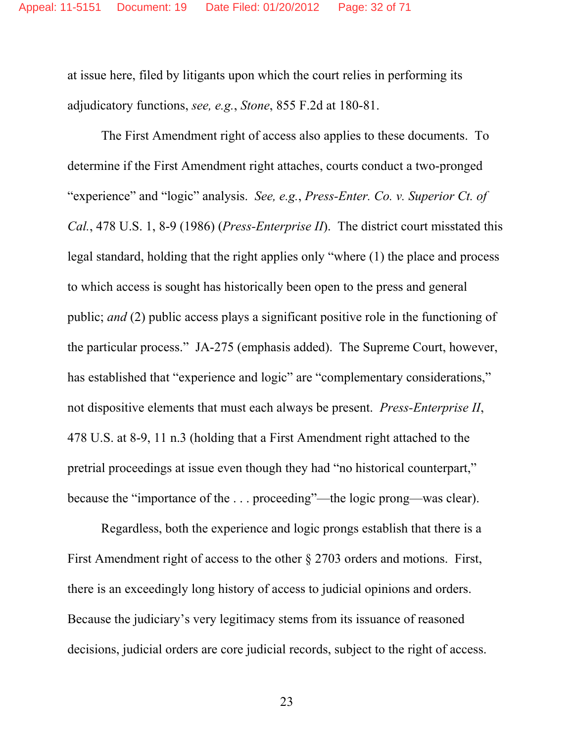at issue here, filed by litigants upon which the court relies in performing its adjudicatory functions, *see, e.g.*, *Stone*, 855 F.2d at 180-81.

 The First Amendment right of access also applies to these documents. To determine if the First Amendment right attaches, courts conduct a two-pronged "experience" and "logic" analysis. *See, e.g.*, *Press-Enter. Co. v. Superior Ct. of Cal.*, 478 U.S. 1, 8-9 (1986) (*Press-Enterprise II*). The district court misstated this legal standard, holding that the right applies only "where (1) the place and process to which access is sought has historically been open to the press and general public; *and* (2) public access plays a significant positive role in the functioning of the particular process." JA-275 (emphasis added). The Supreme Court, however, has established that "experience and logic" are "complementary considerations," not dispositive elements that must each always be present. *Press-Enterprise II*, 478 U.S. at 8-9, 11 n.3 (holding that a First Amendment right attached to the pretrial proceedings at issue even though they had "no historical counterpart," because the "importance of the . . . proceeding"—the logic prong—was clear).

 Regardless, both the experience and logic prongs establish that there is a First Amendment right of access to the other § 2703 orders and motions. First, there is an exceedingly long history of access to judicial opinions and orders. Because the judiciary's very legitimacy stems from its issuance of reasoned decisions, judicial orders are core judicial records, subject to the right of access.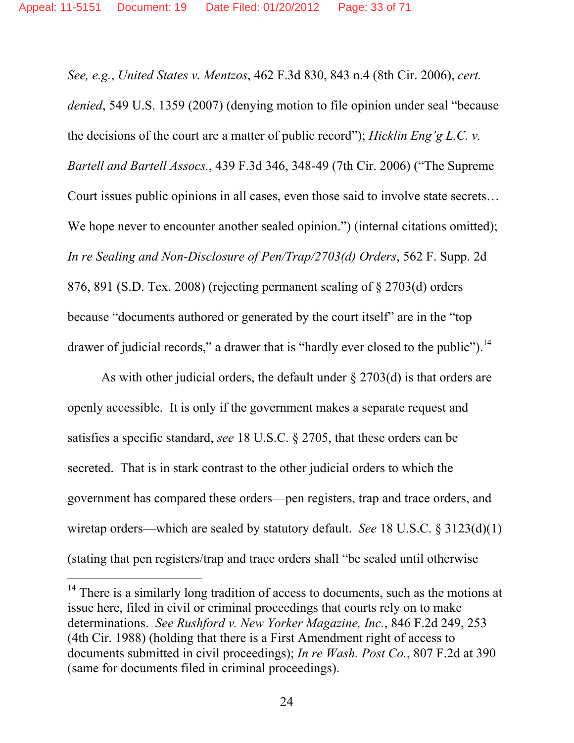*See, e.g.*, *United States v. Mentzos*, 462 F.3d 830, 843 n.4 (8th Cir. 2006), *cert. denied*, 549 U.S. 1359 (2007) (denying motion to file opinion under seal "because the decisions of the court are a matter of public record"); *Hicklin Eng'g L.C. v. Bartell and Bartell Assocs.*, 439 F.3d 346, 348-49 (7th Cir. 2006) ("The Supreme Court issues public opinions in all cases, even those said to involve state secrets… We hope never to encounter another sealed opinion.") (internal citations omitted); *In re Sealing and Non-Disclosure of Pen/Trap/2703(d) Orders*, 562 F. Supp. 2d 876, 891 (S.D. Tex. 2008) (rejecting permanent sealing of § 2703(d) orders because "documents authored or generated by the court itself" are in the "top drawer of judicial records," a drawer that is "hardly ever closed to the public").<sup>14</sup>

As with other judicial orders, the default under  $\S 2703(d)$  is that orders are openly accessible. It is only if the government makes a separate request and satisfies a specific standard, *see* 18 U.S.C. § 2705, that these orders can be secreted. That is in stark contrast to the other judicial orders to which the government has compared these orders—pen registers, trap and trace orders, and wiretap orders—which are sealed by statutory default. *See* 18 U.S.C. § 3123(d)(1) (stating that pen registers/trap and trace orders shall "be sealed until otherwise

 $\overline{a}$ 

 $14$  There is a similarly long tradition of access to documents, such as the motions at issue here, filed in civil or criminal proceedings that courts rely on to make determinations. *See Rushford v. New Yorker Magazine, Inc.*, 846 F.2d 249, 253 (4th Cir. 1988) (holding that there is a First Amendment right of access to documents submitted in civil proceedings); *In re Wash. Post Co.*, 807 F.2d at 390 (same for documents filed in criminal proceedings).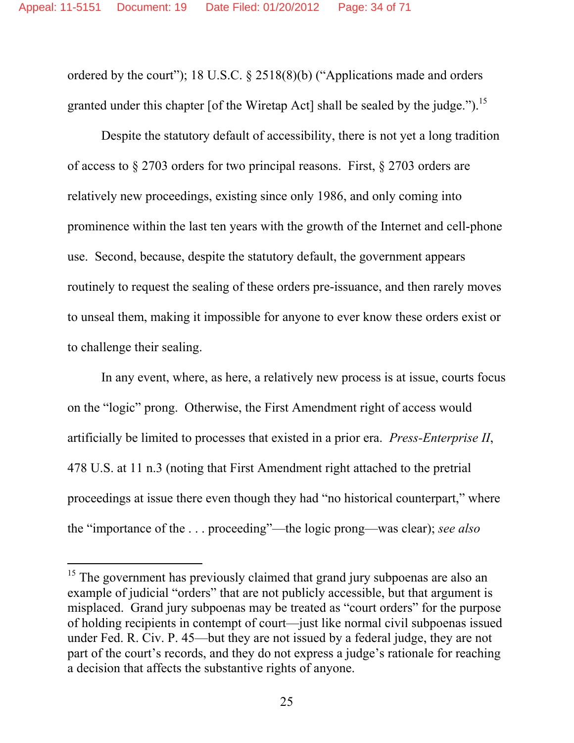ordered by the court"); 18 U.S.C. § 2518(8)(b) ("Applications made and orders granted under this chapter [of the Wiretap Act] shall be sealed by the judge.").<sup>15</sup>

Despite the statutory default of accessibility, there is not yet a long tradition of access to § 2703 orders for two principal reasons. First, § 2703 orders are relatively new proceedings, existing since only 1986, and only coming into prominence within the last ten years with the growth of the Internet and cell-phone use. Second, because, despite the statutory default, the government appears routinely to request the sealing of these orders pre-issuance, and then rarely moves to unseal them, making it impossible for anyone to ever know these orders exist or to challenge their sealing.

In any event, where, as here, a relatively new process is at issue, courts focus on the "logic" prong. Otherwise, the First Amendment right of access would artificially be limited to processes that existed in a prior era. *Press-Enterprise II*, 478 U.S. at 11 n.3 (noting that First Amendment right attached to the pretrial proceedings at issue there even though they had "no historical counterpart," where the "importance of the . . . proceeding"—the logic prong—was clear); *see also* 

-

<sup>&</sup>lt;sup>15</sup> The government has previously claimed that grand jury subpoenas are also an example of judicial "orders" that are not publicly accessible, but that argument is misplaced. Grand jury subpoenas may be treated as "court orders" for the purpose of holding recipients in contempt of court—just like normal civil subpoenas issued under Fed. R. Civ. P. 45—but they are not issued by a federal judge, they are not part of the court's records, and they do not express a judge's rationale for reaching a decision that affects the substantive rights of anyone.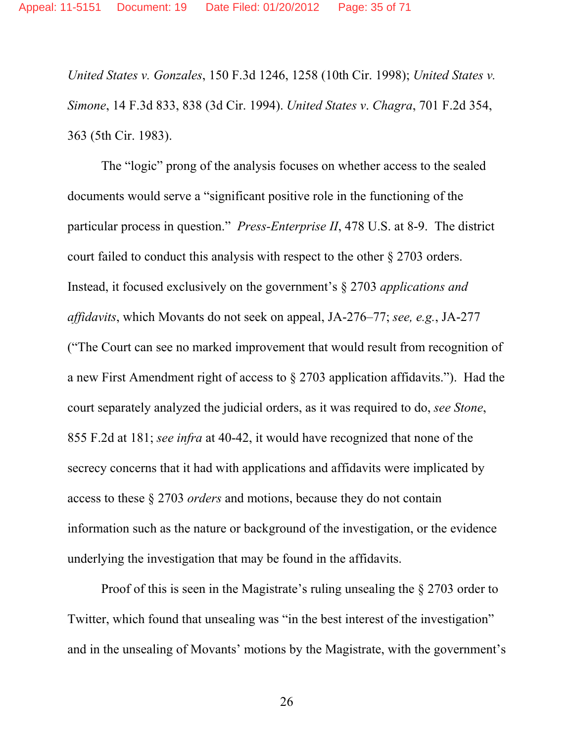*United States v. Gonzales*, 150 F.3d 1246, 1258 (10th Cir. 1998); *United States v. Simone*, 14 F.3d 833, 838 (3d Cir. 1994). *United States v*. *Chagra*, 701 F.2d 354, 363 (5th Cir. 1983).

The "logic" prong of the analysis focuses on whether access to the sealed documents would serve a "significant positive role in the functioning of the particular process in question." *Press-Enterprise II*, 478 U.S. at 8-9. The district court failed to conduct this analysis with respect to the other § 2703 orders. Instead, it focused exclusively on the government's § 2703 *applications and affidavits*, which Movants do not seek on appeal, JA-276–77; *see, e.g.*, JA-277 ("The Court can see no marked improvement that would result from recognition of a new First Amendment right of access to § 2703 application affidavits."). Had the court separately analyzed the judicial orders, as it was required to do, *see Stone*, 855 F.2d at 181; *see infra* at 40-42, it would have recognized that none of the secrecy concerns that it had with applications and affidavits were implicated by access to these § 2703 *orders* and motions, because they do not contain information such as the nature or background of the investigation, or the evidence underlying the investigation that may be found in the affidavits.

Proof of this is seen in the Magistrate's ruling unsealing the § 2703 order to Twitter, which found that unsealing was "in the best interest of the investigation" and in the unsealing of Movants' motions by the Magistrate, with the government's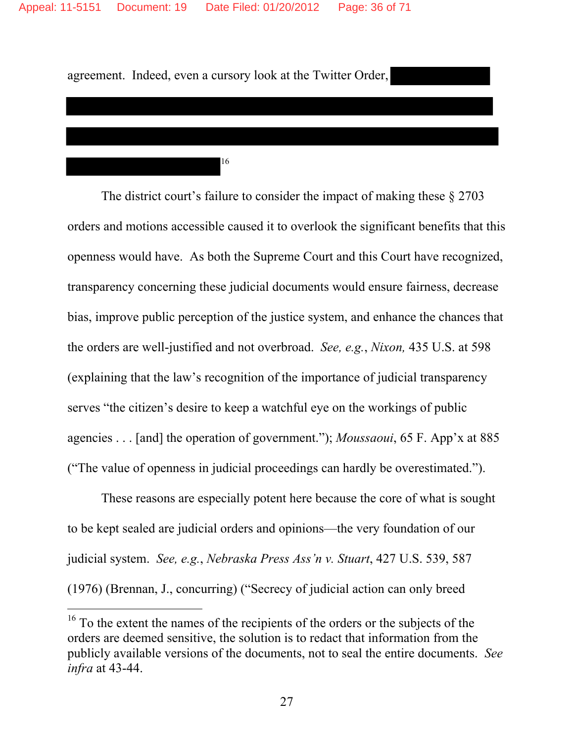agreement. Indeed, even a cursory look at the Twitter Order,

16

The district court's failure to consider the impact of making these § 2703 orders and motions accessible caused it to overlook the significant benefits that this openness would have. As both the Supreme Court and this Court have recognized, transparency concerning these judicial documents would ensure fairness, decrease bias, improve public perception of the justice system, and enhance the chances that the orders are well-justified and not overbroad. *See, e.g.*, *Nixon,* 435 U.S. at 598 (explaining that the law's recognition of the importance of judicial transparency serves "the citizen's desire to keep a watchful eye on the workings of public agencies . . . [and] the operation of government."); *Moussaoui*, 65 F. App'x at 885 ("The value of openness in judicial proceedings can hardly be overestimated.").

These reasons are especially potent here because the core of what is sought to be kept sealed are judicial orders and opinions—the very foundation of our judicial system. *See, e.g.*, *Nebraska Press Ass'n v. Stuart*, 427 U.S. 539, 587 (1976) (Brennan, J., concurring) ("Secrecy of judicial action can only breed

-

 $16$  To the extent the names of the recipients of the orders or the subjects of the orders are deemed sensitive, the solution is to redact that information from the publicly available versions of the documents, not to seal the entire documents. *See infra* at 43-44.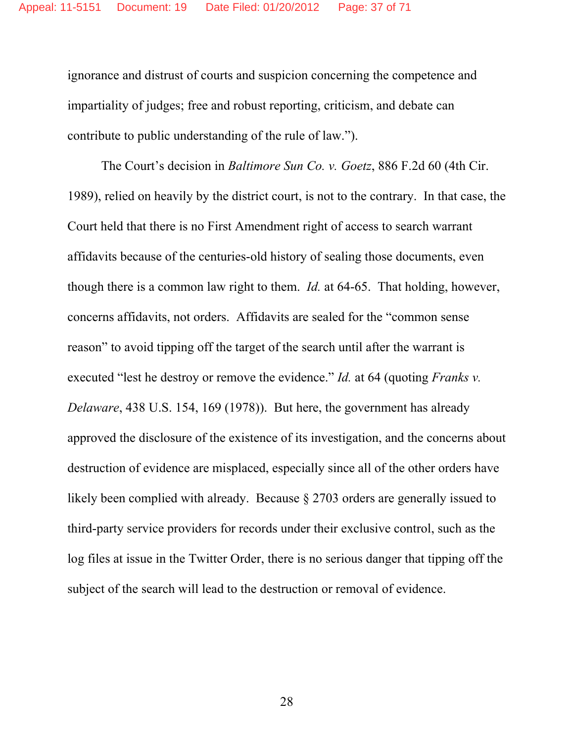ignorance and distrust of courts and suspicion concerning the competence and impartiality of judges; free and robust reporting, criticism, and debate can contribute to public understanding of the rule of law.").

The Court's decision in *Baltimore Sun Co. v. Goetz*, 886 F.2d 60 (4th Cir. 1989), relied on heavily by the district court, is not to the contrary. In that case, the Court held that there is no First Amendment right of access to search warrant affidavits because of the centuries-old history of sealing those documents, even though there is a common law right to them. *Id.* at 64-65. That holding, however, concerns affidavits, not orders. Affidavits are sealed for the "common sense reason" to avoid tipping off the target of the search until after the warrant is executed "lest he destroy or remove the evidence." *Id.* at 64 (quoting *Franks v. Delaware*, 438 U.S. 154, 169 (1978)). But here, the government has already approved the disclosure of the existence of its investigation, and the concerns about destruction of evidence are misplaced, especially since all of the other orders have likely been complied with already. Because § 2703 orders are generally issued to third-party service providers for records under their exclusive control, such as the log files at issue in the Twitter Order, there is no serious danger that tipping off the subject of the search will lead to the destruction or removal of evidence.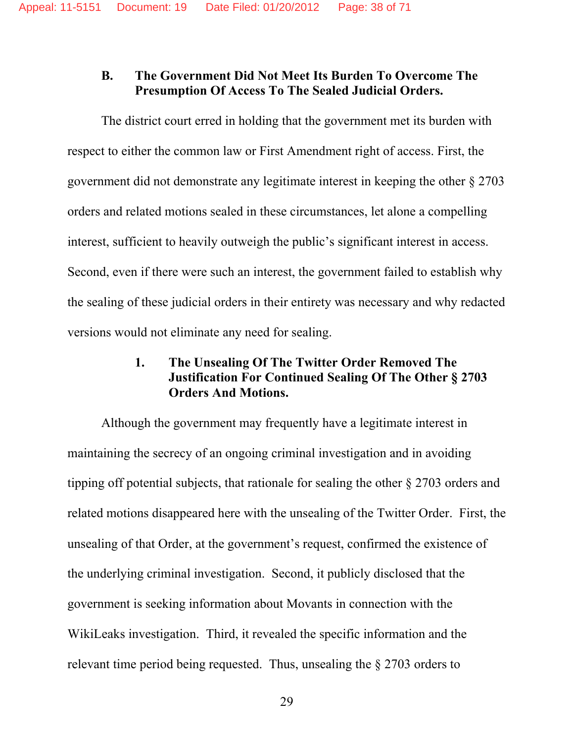## **B. The Government Did Not Meet Its Burden To Overcome The Presumption Of Access To The Sealed Judicial Orders.**

The district court erred in holding that the government met its burden with respect to either the common law or First Amendment right of access. First, the government did not demonstrate any legitimate interest in keeping the other § 2703 orders and related motions sealed in these circumstances, let alone a compelling interest, sufficient to heavily outweigh the public's significant interest in access. Second, even if there were such an interest, the government failed to establish why the sealing of these judicial orders in their entirety was necessary and why redacted versions would not eliminate any need for sealing.

## **1. The Unsealing Of The Twitter Order Removed The Justification For Continued Sealing Of The Other § 2703 Orders And Motions.**

Although the government may frequently have a legitimate interest in maintaining the secrecy of an ongoing criminal investigation and in avoiding tipping off potential subjects, that rationale for sealing the other § 2703 orders and related motions disappeared here with the unsealing of the Twitter Order. First, the unsealing of that Order, at the government's request, confirmed the existence of the underlying criminal investigation. Second, it publicly disclosed that the government is seeking information about Movants in connection with the WikiLeaks investigation. Third, it revealed the specific information and the relevant time period being requested. Thus, unsealing the § 2703 orders to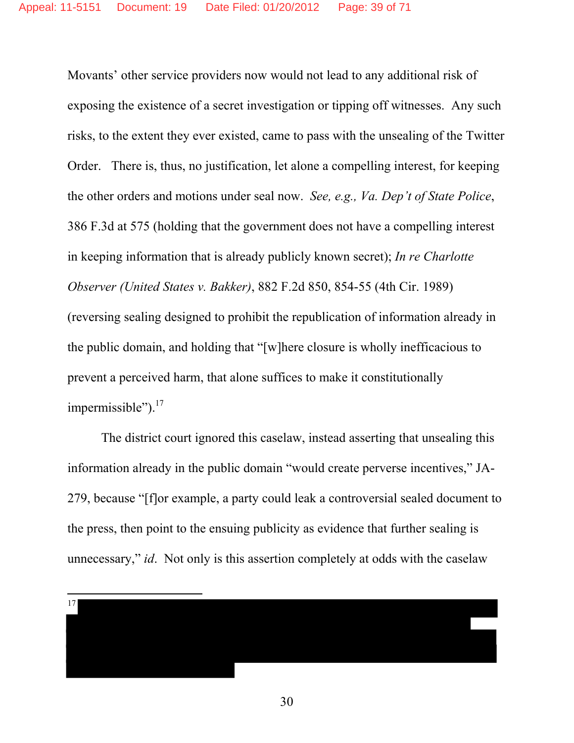Movants' other service providers now would not lead to any additional risk of exposing the existence of a secret investigation or tipping off witnesses. Any such risks, to the extent they ever existed, came to pass with the unsealing of the Twitter Order. There is, thus, no justification, let alone a compelling interest, for keeping the other orders and motions under seal now. *See, e.g., Va. Dep't of State Police*, 386 F.3d at 575 (holding that the government does not have a compelling interest in keeping information that is already publicly known secret); *In re Charlotte Observer (United States v. Bakker)*, 882 F.2d 850, 854-55 (4th Cir. 1989) (reversing sealing designed to prohibit the republication of information already in the public domain, and holding that "[w]here closure is wholly inefficacious to prevent a perceived harm, that alone suffices to make it constitutionally impermissible"). $17$ 

The district court ignored this caselaw, instead asserting that unsealing this information already in the public domain "would create perverse incentives," JA-279, because "[f]or example, a party could leak a controversial sealed document to the press, then point to the ensuing publicity as evidence that further sealing is unnecessary," *id*. Not only is this assertion completely at odds with the caselaw

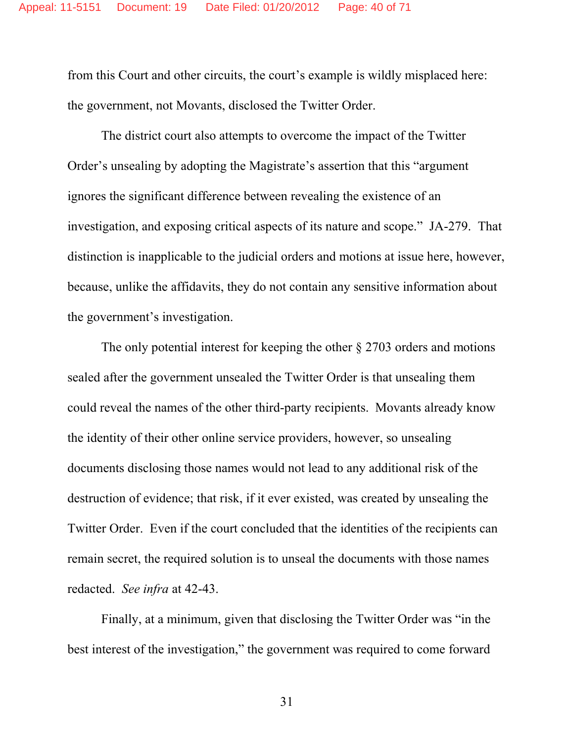from this Court and other circuits, the court's example is wildly misplaced here: the government, not Movants, disclosed the Twitter Order.

The district court also attempts to overcome the impact of the Twitter Order's unsealing by adopting the Magistrate's assertion that this "argument ignores the significant difference between revealing the existence of an investigation, and exposing critical aspects of its nature and scope." JA-279. That distinction is inapplicable to the judicial orders and motions at issue here, however, because, unlike the affidavits, they do not contain any sensitive information about the government's investigation.

The only potential interest for keeping the other § 2703 orders and motions sealed after the government unsealed the Twitter Order is that unsealing them could reveal the names of the other third-party recipients.Movants already know the identity of their other online service providers, however, so unsealing documents disclosing those names would not lead to any additional risk of the destruction of evidence; that risk, if it ever existed, was created by unsealing the Twitter Order. Even if the court concluded that the identities of the recipients can remain secret, the required solution is to unseal the documents with those names redacted. *See infra* at 42-43.

Finally, at a minimum, given that disclosing the Twitter Order was "in the best interest of the investigation," the government was required to come forward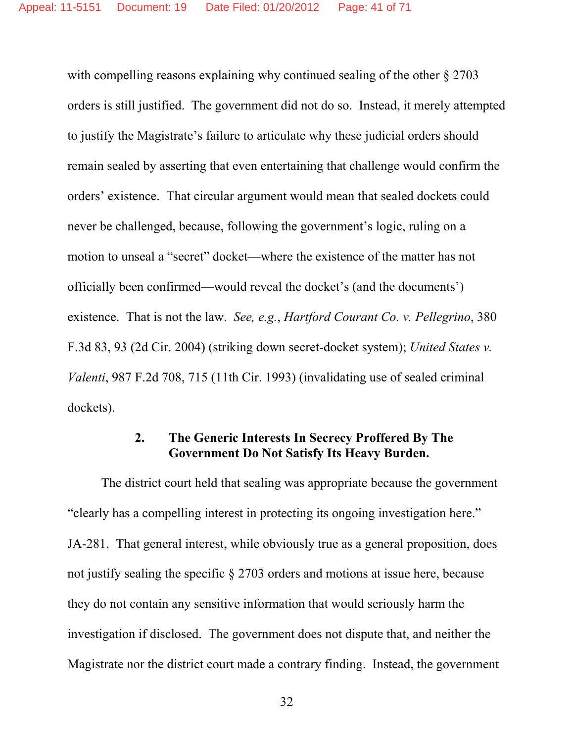with compelling reasons explaining why continued sealing of the other  $\S 2703$ orders is still justified. The government did not do so. Instead, it merely attempted to justify the Magistrate's failure to articulate why these judicial orders should remain sealed by asserting that even entertaining that challenge would confirm the orders' existence. That circular argument would mean that sealed dockets could never be challenged, because, following the government's logic, ruling on a motion to unseal a "secret" docket—where the existence of the matter has not officially been confirmed—would reveal the docket's (and the documents') existence. That is not the law. *See, e.g.*, *Hartford Courant Co. v. Pellegrino*, 380 F.3d 83, 93 (2d Cir. 2004) (striking down secret-docket system); *United States v. Valenti*, 987 F.2d 708, 715 (11th Cir. 1993) (invalidating use of sealed criminal dockets).

## **2. The Generic Interests In Secrecy Proffered By The Government Do Not Satisfy Its Heavy Burden.**

The district court held that sealing was appropriate because the government "clearly has a compelling interest in protecting its ongoing investigation here." JA-281. That general interest, while obviously true as a general proposition, does not justify sealing the specific § 2703 orders and motions at issue here, because they do not contain any sensitive information that would seriously harm the investigation if disclosed. The government does not dispute that, and neither the Magistrate nor the district court made a contrary finding. Instead, the government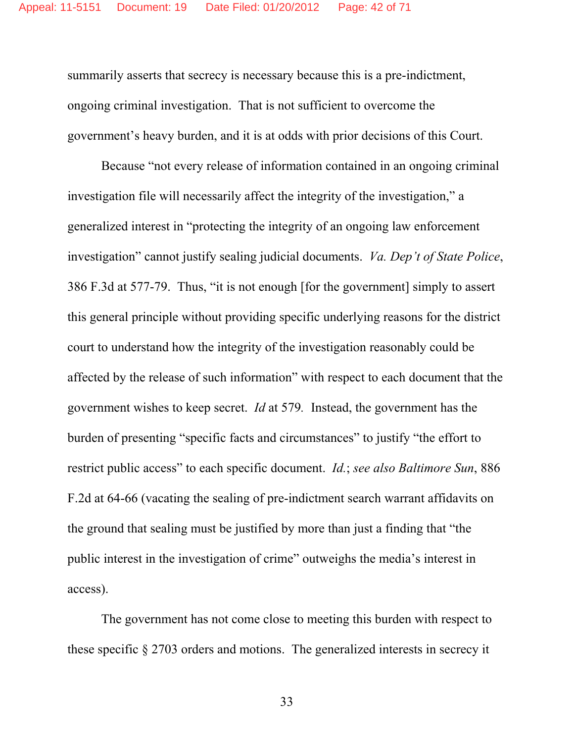summarily asserts that secrecy is necessary because this is a pre-indictment, ongoing criminal investigation. That is not sufficient to overcome the government's heavy burden, and it is at odds with prior decisions of this Court.

Because "not every release of information contained in an ongoing criminal investigation file will necessarily affect the integrity of the investigation," a generalized interest in "protecting the integrity of an ongoing law enforcement investigation" cannot justify sealing judicial documents. *Va. Dep't of State Police*, 386 F.3d at 577-79. Thus, "it is not enough [for the government] simply to assert this general principle without providing specific underlying reasons for the district court to understand how the integrity of the investigation reasonably could be affected by the release of such information" with respect to each document that the government wishes to keep secret. *Id* at 579*.* Instead, the government has the burden of presenting "specific facts and circumstances" to justify "the effort to restrict public access" to each specific document. *Id.*; *see also Baltimore Sun*, 886 F.2d at 64-66 (vacating the sealing of pre-indictment search warrant affidavits on the ground that sealing must be justified by more than just a finding that "the public interest in the investigation of crime" outweighs the media's interest in access).

The government has not come close to meeting this burden with respect to these specific § 2703 orders and motions. The generalized interests in secrecy it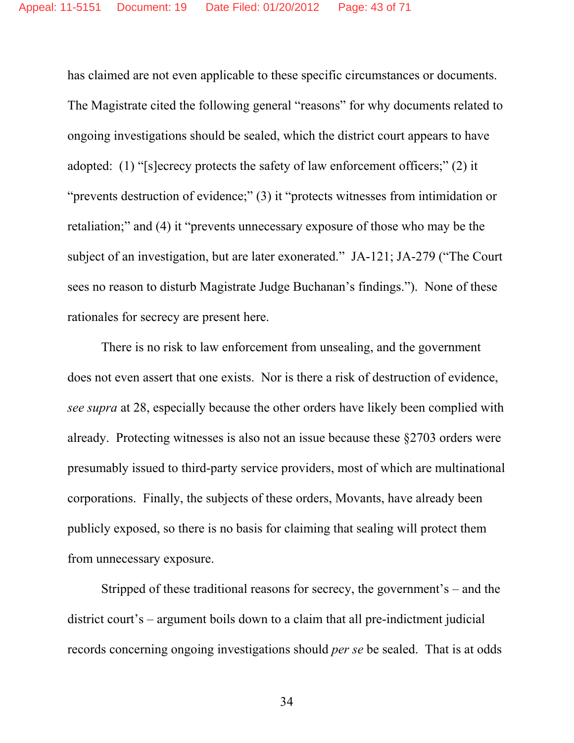has claimed are not even applicable to these specific circumstances or documents. The Magistrate cited the following general "reasons" for why documents related to ongoing investigations should be sealed, which the district court appears to have adopted: (1) "[s]ecrecy protects the safety of law enforcement officers;" (2) it "prevents destruction of evidence;" (3) it "protects witnesses from intimidation or retaliation;" and (4) it "prevents unnecessary exposure of those who may be the subject of an investigation, but are later exonerated." JA-121; JA-279 ("The Court sees no reason to disturb Magistrate Judge Buchanan's findings."). None of these rationales for secrecy are present here.

There is no risk to law enforcement from unsealing, and the government does not even assert that one exists. Nor is there a risk of destruction of evidence, *see supra* at 28, especially because the other orders have likely been complied with already. Protecting witnesses is also not an issue because these §2703 orders were presumably issued to third-party service providers, most of which are multinational corporations. Finally, the subjects of these orders, Movants, have already been publicly exposed, so there is no basis for claiming that sealing will protect them from unnecessary exposure.

Stripped of these traditional reasons for secrecy, the government's – and the district court's – argument boils down to a claim that all pre-indictment judicial records concerning ongoing investigations should *per se* be sealed. That is at odds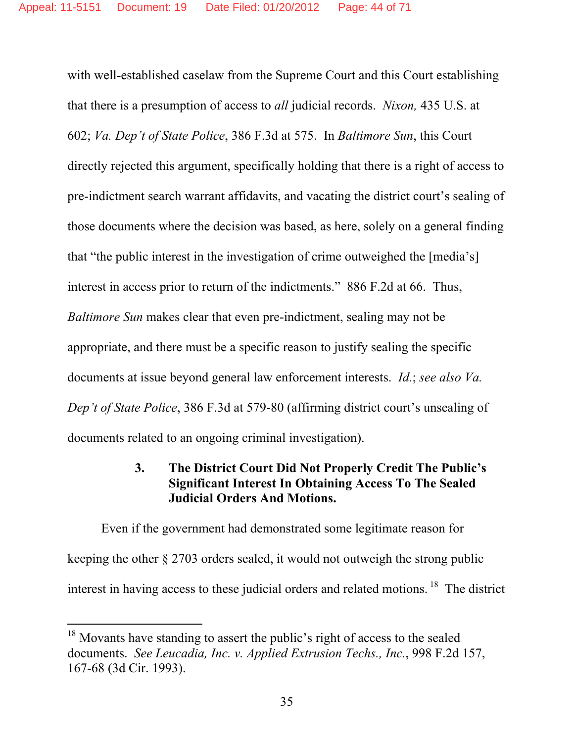with well-established caselaw from the Supreme Court and this Court establishing that there is a presumption of access to *all* judicial records. *Nixon,* 435 U.S. at 602; *Va. Dep't of State Police*, 386 F.3d at 575. In *Baltimore Sun*, this Court directly rejected this argument, specifically holding that there is a right of access to pre-indictment search warrant affidavits, and vacating the district court's sealing of those documents where the decision was based, as here, solely on a general finding that "the public interest in the investigation of crime outweighed the [media's] interest in access prior to return of the indictments." 886 F.2d at 66. Thus, *Baltimore Sun* makes clear that even pre-indictment, sealing may not be appropriate, and there must be a specific reason to justify sealing the specific documents at issue beyond general law enforcement interests. *Id.*; *see also Va. Dep't of State Police*, 386 F.3d at 579-80 (affirming district court's unsealing of documents related to an ongoing criminal investigation).

## **3. The District Court Did Not Properly Credit The Public's Significant Interest In Obtaining Access To The Sealed Judicial Orders And Motions.**

Even if the government had demonstrated some legitimate reason for keeping the other § 2703 orders sealed, it would not outweigh the strong public interest in having access to these judicial orders and related motions.  $18$  The district

-

 $18$  Movants have standing to assert the public's right of access to the sealed documents. *See Leucadia, Inc. v. Applied Extrusion Techs., Inc.*, 998 F.2d 157, 167-68 (3d Cir. 1993).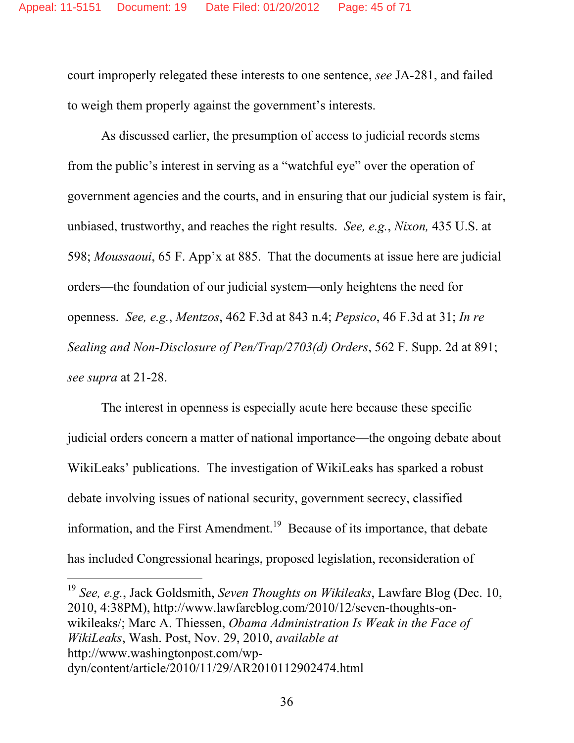court improperly relegated these interests to one sentence, *see* JA-281, and failed to weigh them properly against the government's interests.

As discussed earlier, the presumption of access to judicial records stems from the public's interest in serving as a "watchful eye" over the operation of government agencies and the courts, and in ensuring that our judicial system is fair, unbiased, trustworthy, and reaches the right results. *See, e.g.*, *Nixon,* 435 U.S. at 598; *Moussaoui*, 65 F. App'x at 885. That the documents at issue here are judicial orders—the foundation of our judicial system—only heightens the need for openness. *See, e.g.*, *Mentzos*, 462 F.3d at 843 n.4; *Pepsico*, 46 F.3d at 31; *In re Sealing and Non-Disclosure of Pen/Trap/2703(d) Orders*, 562 F. Supp. 2d at 891; *see supra* at 21-28.

The interest in openness is especially acute here because these specific judicial orders concern a matter of national importance—the ongoing debate about WikiLeaks' publications. The investigation of WikiLeaks has sparked a robust debate involving issues of national security, government secrecy, classified information, and the First Amendment.<sup>19</sup> Because of its importance, that debate has included Congressional hearings, proposed legislation, reconsideration of

 $\overline{a}$ 

<sup>19</sup> *See, e.g.*, Jack Goldsmith, *Seven Thoughts on Wikileaks*, Lawfare Blog (Dec. 10, 2010, 4:38PM), http://www.lawfareblog.com/2010/12/seven-thoughts-onwikileaks/; Marc A. Thiessen, *Obama Administration Is Weak in the Face of WikiLeaks*, Wash. Post, Nov. 29, 2010, *available at*  http://www.washingtonpost.com/wpdyn/content/article/2010/11/29/AR2010112902474.html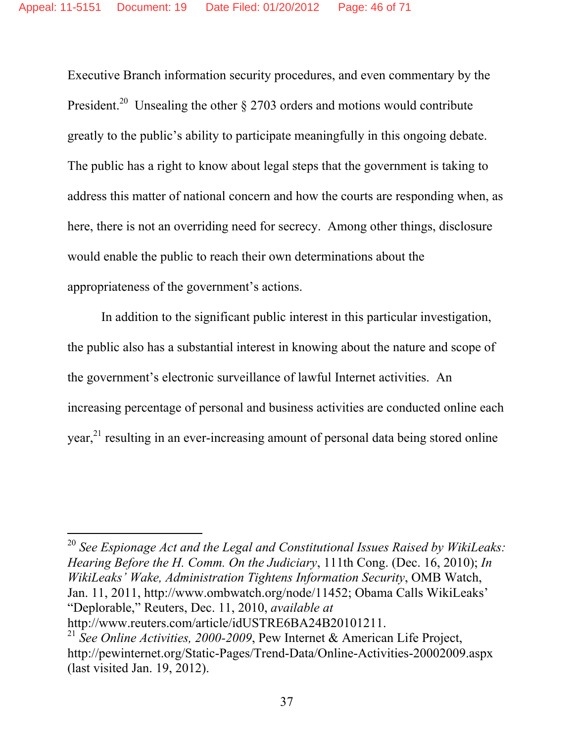Executive Branch information security procedures, and even commentary by the President.<sup>20</sup> Unsealing the other  $\S 2703$  orders and motions would contribute greatly to the public's ability to participate meaningfully in this ongoing debate. The public has a right to know about legal steps that the government is taking to address this matter of national concern and how the courts are responding when, as here, there is not an overriding need for secrecy. Among other things, disclosure would enable the public to reach their own determinations about the appropriateness of the government's actions.

In addition to the significant public interest in this particular investigation, the public also has a substantial interest in knowing about the nature and scope of the government's electronic surveillance of lawful Internet activities. An increasing percentage of personal and business activities are conducted online each year,<sup>21</sup> resulting in an ever-increasing amount of personal data being stored online

<sup>20</sup> *See Espionage Act and the Legal and Constitutional Issues Raised by WikiLeaks: Hearing Before the H. Comm. On the Judiciary*, 111th Cong. (Dec. 16, 2010); *In WikiLeaks' Wake, Administration Tightens Information Security*, OMB Watch, Jan. 11, 2011, http://www.ombwatch.org/node/11452; Obama Calls WikiLeaks' "Deplorable," Reuters, Dec. 11, 2010, *available at* http://www.reuters.com/article/idUSTRE6BA24B20101211.

 $\overline{a}$ 

<sup>21</sup> *See Online Activities, 2000-2009*, Pew Internet & American Life Project, http://pewinternet.org/Static-Pages/Trend-Data/Online-Activities-20002009.aspx (last visited Jan. 19, 2012).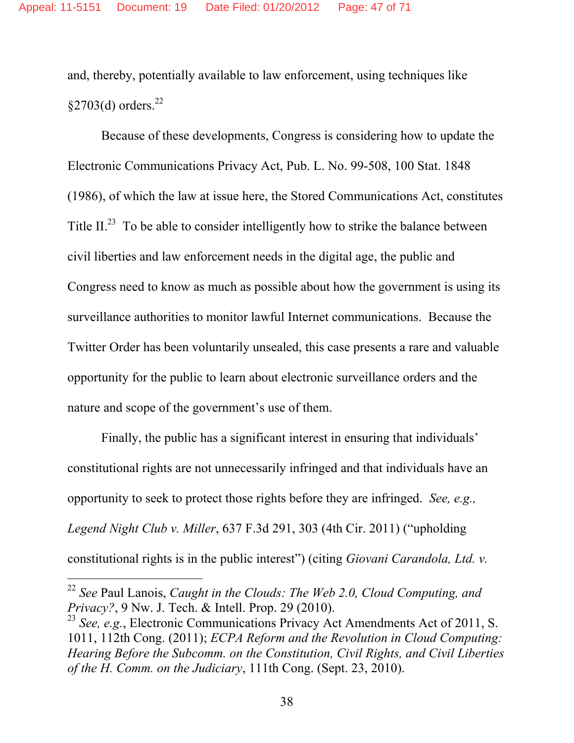and, thereby, potentially available to law enforcement, using techniques like  $$2703(d)$  orders.<sup>22</sup>

Because of these developments, Congress is considering how to update the Electronic Communications Privacy Act, Pub. L. No. 99-508, 100 Stat. 1848 (1986), of which the law at issue here, the Stored Communications Act, constitutes Title II.<sup>23</sup> To be able to consider intelligently how to strike the balance between civil liberties and law enforcement needs in the digital age, the public and Congress need to know as much as possible about how the government is using its surveillance authorities to monitor lawful Internet communications. Because the Twitter Order has been voluntarily unsealed, this case presents a rare and valuable opportunity for the public to learn about electronic surveillance orders and the nature and scope of the government's use of them.

Finally, the public has a significant interest in ensuring that individuals' constitutional rights are not unnecessarily infringed and that individuals have an opportunity to seek to protect those rights before they are infringed. *See, e.g., Legend Night Club v. Miller*, 637 F.3d 291, 303 (4th Cir. 2011) ("upholding constitutional rights is in the public interest") (citing *Giovani Carandola, Ltd. v.* 

-

<sup>22</sup> *See* Paul Lanois, *Caught in the Clouds: The Web 2.0, Cloud Computing, and Privacy?*, 9 Nw. J. Tech. & Intell. Prop. 29 (2010).

<sup>23</sup> *See, e.g.*, Electronic Communications Privacy Act Amendments Act of 2011, S. 1011, 112th Cong. (2011); *ECPA Reform and the Revolution in Cloud Computing: Hearing Before the Subcomm. on the Constitution, Civil Rights, and Civil Liberties of the H. Comm. on the Judiciary*, 111th Cong. (Sept. 23, 2010).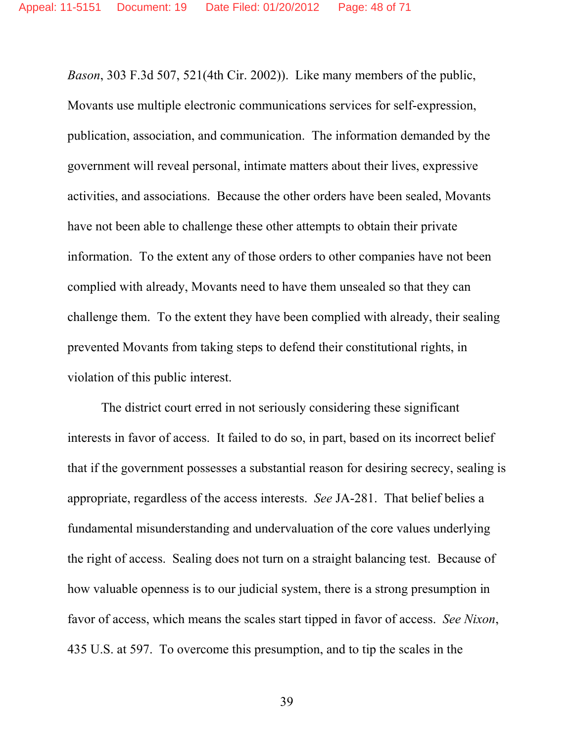*Bason*, 303 F.3d 507, 521(4th Cir. 2002)). Like many members of the public, Movants use multiple electronic communications services for self-expression, publication, association, and communication. The information demanded by the government will reveal personal, intimate matters about their lives, expressive activities, and associations. Because the other orders have been sealed, Movants have not been able to challenge these other attempts to obtain their private information. To the extent any of those orders to other companies have not been complied with already, Movants need to have them unsealed so that they can challenge them. To the extent they have been complied with already, their sealing prevented Movants from taking steps to defend their constitutional rights, in violation of this public interest.

The district court erred in not seriously considering these significant interests in favor of access. It failed to do so, in part, based on its incorrect belief that if the government possesses a substantial reason for desiring secrecy, sealing is appropriate, regardless of the access interests. *See* JA-281. That belief belies a fundamental misunderstanding and undervaluation of the core values underlying the right of access. Sealing does not turn on a straight balancing test. Because of how valuable openness is to our judicial system, there is a strong presumption in favor of access, which means the scales start tipped in favor of access. *See Nixon*, 435 U.S. at 597. To overcome this presumption, and to tip the scales in the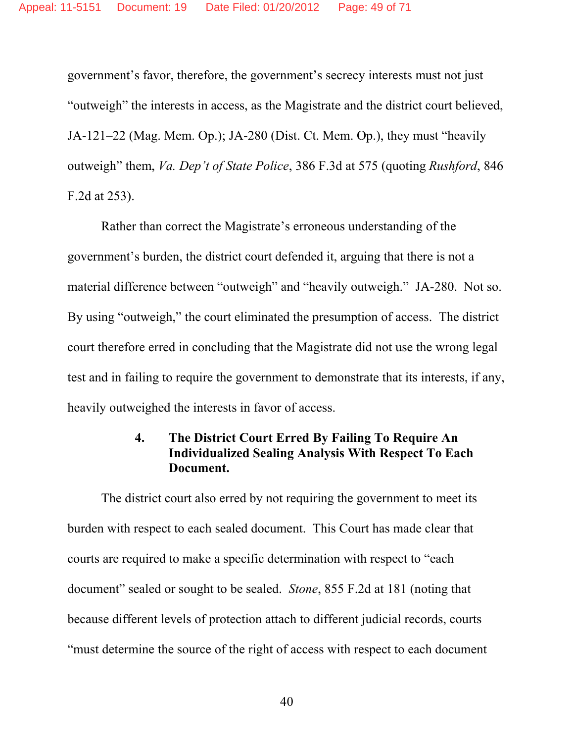government's favor, therefore, the government's secrecy interests must not just "outweigh" the interests in access, as the Magistrate and the district court believed, JA-121–22 (Mag. Mem. Op.); JA-280 (Dist. Ct. Mem. Op.), they must "heavily outweigh" them, *Va. Dep't of State Police*, 386 F.3d at 575 (quoting *Rushford*, 846 F.2d at 253).

Rather than correct the Magistrate's erroneous understanding of the government's burden, the district court defended it, arguing that there is not a material difference between "outweigh" and "heavily outweigh." JA-280. Not so. By using "outweigh," the court eliminated the presumption of access. The district court therefore erred in concluding that the Magistrate did not use the wrong legal test and in failing to require the government to demonstrate that its interests, if any, heavily outweighed the interests in favor of access.

## **4. The District Court Erred By Failing To Require An Individualized Sealing Analysis With Respect To Each Document.**

The district court also erred by not requiring the government to meet its burden with respect to each sealed document. This Court has made clear that courts are required to make a specific determination with respect to "each document" sealed or sought to be sealed. *Stone*, 855 F.2d at 181 (noting that because different levels of protection attach to different judicial records, courts "must determine the source of the right of access with respect to each document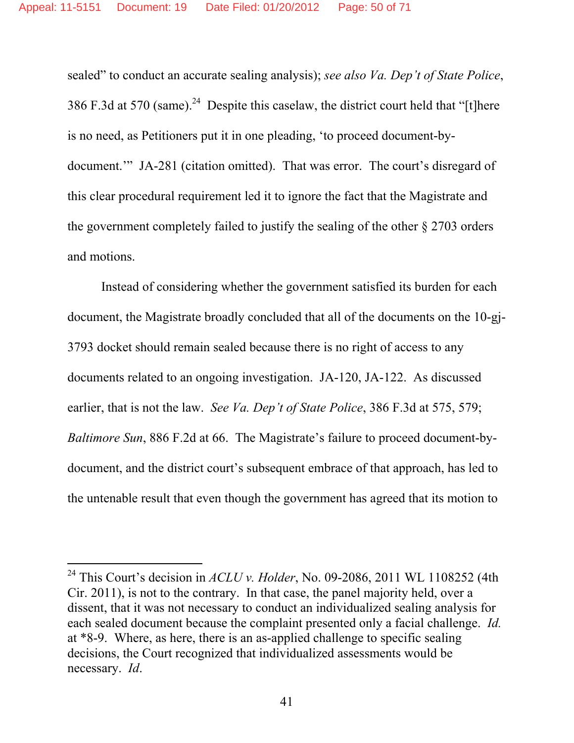sealed" to conduct an accurate sealing analysis); *see also Va. Dep't of State Police*, 386 F.3d at 570 (same).<sup>24</sup> Despite this caselaw, the district court held that "[t]here is no need, as Petitioners put it in one pleading, 'to proceed document-bydocument.'" JA-281 (citation omitted). That was error. The court's disregard of this clear procedural requirement led it to ignore the fact that the Magistrate and the government completely failed to justify the sealing of the other § 2703 orders and motions.

Instead of considering whether the government satisfied its burden for each document, the Magistrate broadly concluded that all of the documents on the 10-gj-3793 docket should remain sealed because there is no right of access to any documents related to an ongoing investigation. JA-120, JA-122. As discussed earlier, that is not the law. *See Va. Dep't of State Police*, 386 F.3d at 575, 579; *Baltimore Sun*, 886 F.2d at 66. The Magistrate's failure to proceed document-bydocument, and the district court's subsequent embrace of that approach, has led to the untenable result that even though the government has agreed that its motion to

-

<sup>&</sup>lt;sup>24</sup> This Court's decision in  $ACLU$  v. Holder, No. 09-2086, 2011 WL 1108252 (4th Cir. 2011), is not to the contrary. In that case, the panel majority held, over a dissent, that it was not necessary to conduct an individualized sealing analysis for each sealed document because the complaint presented only a facial challenge. *Id.* at \*8-9. Where, as here, there is an as-applied challenge to specific sealing decisions, the Court recognized that individualized assessments would be necessary. *Id*.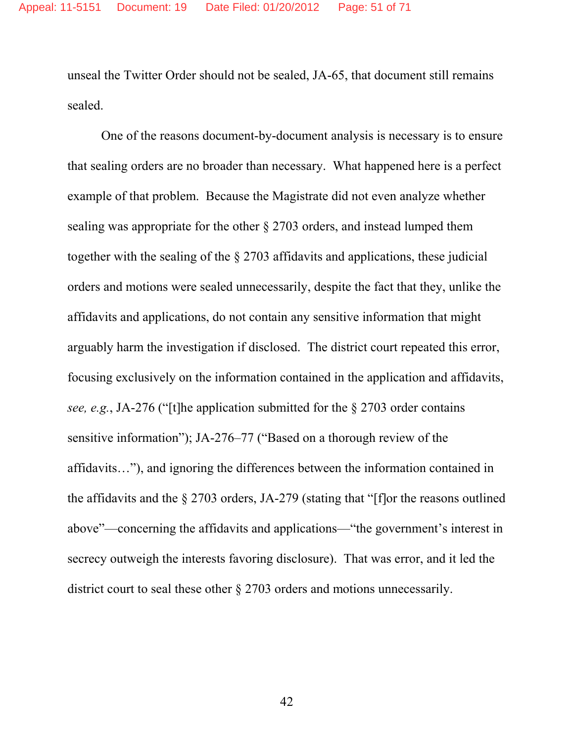unseal the Twitter Order should not be sealed, JA-65, that document still remains sealed.

One of the reasons document-by-document analysis is necessary is to ensure that sealing orders are no broader than necessary. What happened here is a perfect example of that problem. Because the Magistrate did not even analyze whether sealing was appropriate for the other § 2703 orders, and instead lumped them together with the sealing of the § 2703 affidavits and applications, these judicial orders and motions were sealed unnecessarily, despite the fact that they, unlike the affidavits and applications, do not contain any sensitive information that might arguably harm the investigation if disclosed. The district court repeated this error, focusing exclusively on the information contained in the application and affidavits, *see, e.g.*, JA-276 ("[t]he application submitted for the § 2703 order contains sensitive information"); JA-276–77 ("Based on a thorough review of the affidavits…"), and ignoring the differences between the information contained in the affidavits and the § 2703 orders, JA-279 (stating that "[f]or the reasons outlined above"—concerning the affidavits and applications—"the government's interest in secrecy outweigh the interests favoring disclosure). That was error, and it led the district court to seal these other § 2703 orders and motions unnecessarily.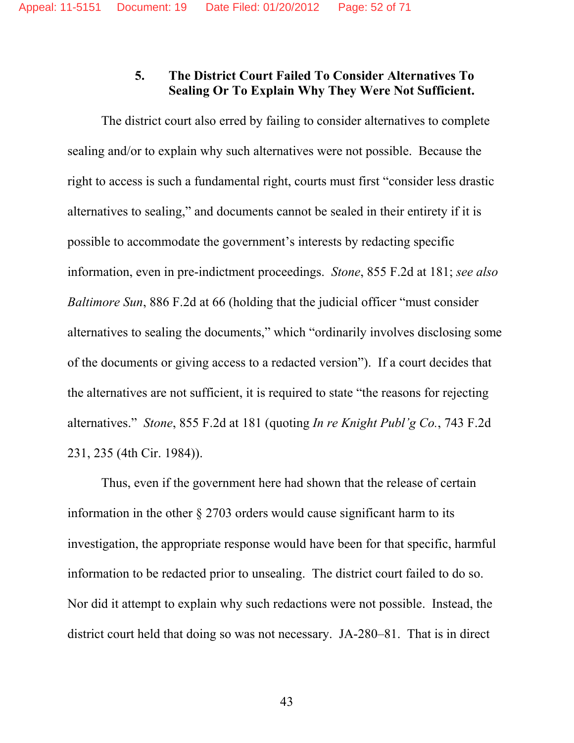## **5. The District Court Failed To Consider Alternatives To Sealing Or To Explain Why They Were Not Sufficient.**

The district court also erred by failing to consider alternatives to complete sealing and/or to explain why such alternatives were not possible. Because the right to access is such a fundamental right, courts must first "consider less drastic alternatives to sealing," and documents cannot be sealed in their entirety if it is possible to accommodate the government's interests by redacting specific information, even in pre-indictment proceedings. *Stone*, 855 F.2d at 181; *see also Baltimore Sun*, 886 F.2d at 66 (holding that the judicial officer "must consider alternatives to sealing the documents," which "ordinarily involves disclosing some of the documents or giving access to a redacted version"). If a court decides that the alternatives are not sufficient, it is required to state "the reasons for rejecting alternatives." *Stone*, 855 F.2d at 181 (quoting *In re Knight Publ'g Co.*, 743 F.2d 231, 235 (4th Cir. 1984)).

Thus, even if the government here had shown that the release of certain information in the other § 2703 orders would cause significant harm to its investigation, the appropriate response would have been for that specific, harmful information to be redacted prior to unsealing. The district court failed to do so. Nor did it attempt to explain why such redactions were not possible. Instead, the district court held that doing so was not necessary. JA-280–81. That is in direct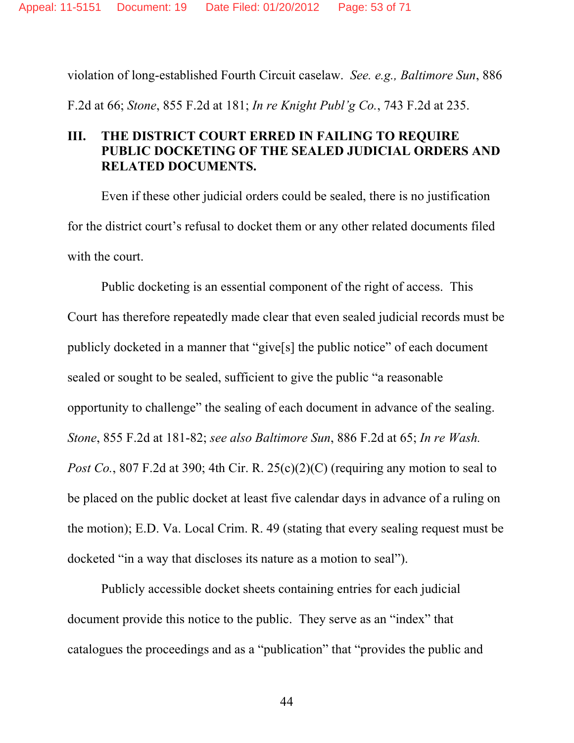violation of long-established Fourth Circuit caselaw. *See. e.g., Baltimore Sun*, 886 F.2d at 66; *Stone*, 855 F.2d at 181; *In re Knight Publ'g Co.*, 743 F.2d at 235.

## **III. THE DISTRICT COURT ERRED IN FAILING TO REQUIRE PUBLIC DOCKETING OF THE SEALED JUDICIAL ORDERS AND RELATED DOCUMENTS.**

Even if these other judicial orders could be sealed, there is no justification for the district court's refusal to docket them or any other related documents filed with the court.

Public docketing is an essential component of the right of access. This Court has therefore repeatedly made clear that even sealed judicial records must be publicly docketed in a manner that "give[s] the public notice" of each document sealed or sought to be sealed, sufficient to give the public "a reasonable opportunity to challenge" the sealing of each document in advance of the sealing. *Stone*, 855 F.2d at 181-82; *see also Baltimore Sun*, 886 F.2d at 65; *In re Wash. Post Co.*, 807 F.2d at 390; 4th Cir. R. 25(c)(2)(C) (requiring any motion to seal to be placed on the public docket at least five calendar days in advance of a ruling on the motion); E.D. Va. Local Crim. R. 49 (stating that every sealing request must be docketed "in a way that discloses its nature as a motion to seal").

Publicly accessible docket sheets containing entries for each judicial document provide this notice to the public. They serve as an "index" that catalogues the proceedings and as a "publication" that "provides the public and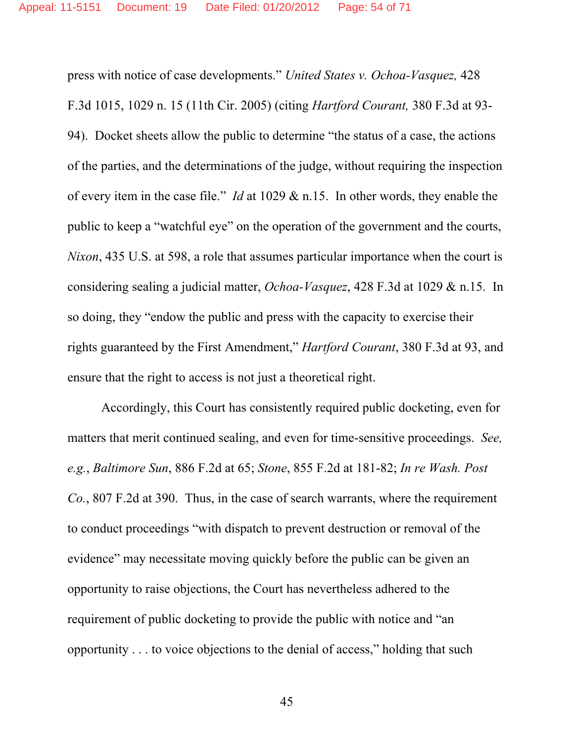press with notice of case developments." *United States v. Ochoa-Vasquez,* 428 F.3d 1015, 1029 n. 15 (11th Cir. 2005) (citing *Hartford Courant,* 380 F.3d at 93- 94). Docket sheets allow the public to determine "the status of a case, the actions of the parties, and the determinations of the judge, without requiring the inspection of every item in the case file." *Id* at 1029 & n.15. In other words, they enable the public to keep a "watchful eye" on the operation of the government and the courts, *Nixon*, 435 U.S. at 598, a role that assumes particular importance when the court is considering sealing a judicial matter, *Ochoa-Vasquez*, 428 F.3d at 1029 & n.15. In so doing, they "endow the public and press with the capacity to exercise their rights guaranteed by the First Amendment," *Hartford Courant*, 380 F.3d at 93, and ensure that the right to access is not just a theoretical right.

Accordingly, this Court has consistently required public docketing, even for matters that merit continued sealing, and even for time-sensitive proceedings. *See, e.g.*, *Baltimore Sun*, 886 F.2d at 65; *Stone*, 855 F.2d at 181-82; *In re Wash. Post Co.*, 807 F.2d at 390. Thus, in the case of search warrants, where the requirement to conduct proceedings "with dispatch to prevent destruction or removal of the evidence" may necessitate moving quickly before the public can be given an opportunity to raise objections, the Court has nevertheless adhered to the requirement of public docketing to provide the public with notice and "an opportunity . . . to voice objections to the denial of access," holding that such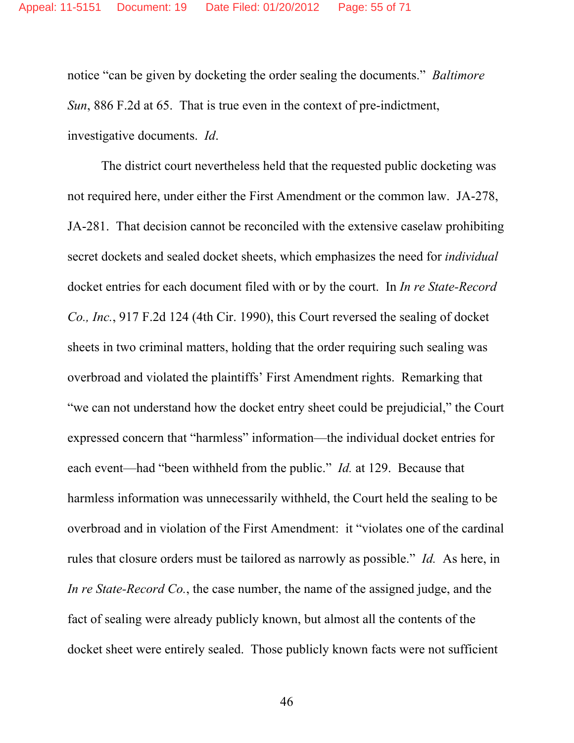notice "can be given by docketing the order sealing the documents." *Baltimore Sun*, 886 F.2d at 65. That is true even in the context of pre-indictment, investigative documents. *Id*.

The district court nevertheless held that the requested public docketing was not required here, under either the First Amendment or the common law. JA-278, JA-281. That decision cannot be reconciled with the extensive caselaw prohibiting secret dockets and sealed docket sheets, which emphasizes the need for *individual*  docket entries for each document filed with or by the court. In *In re State-Record Co., Inc.*, 917 F.2d 124 (4th Cir. 1990), this Court reversed the sealing of docket sheets in two criminal matters, holding that the order requiring such sealing was overbroad and violated the plaintiffs' First Amendment rights. Remarking that "we can not understand how the docket entry sheet could be prejudicial," the Court expressed concern that "harmless" information—the individual docket entries for each event—had "been withheld from the public." *Id.* at 129. Because that harmless information was unnecessarily withheld, the Court held the sealing to be overbroad and in violation of the First Amendment: it "violates one of the cardinal rules that closure orders must be tailored as narrowly as possible." *Id.* As here, in *In re State-Record Co.*, the case number, the name of the assigned judge, and the fact of sealing were already publicly known, but almost all the contents of the docket sheet were entirely sealed. Those publicly known facts were not sufficient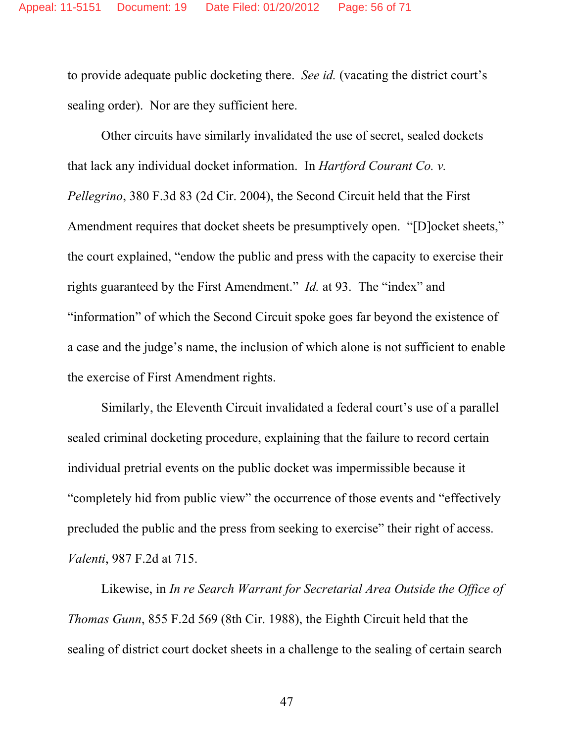to provide adequate public docketing there. *See id.* (vacating the district court's sealing order). Nor are they sufficient here.

Other circuits have similarly invalidated the use of secret, sealed dockets that lack any individual docket information. In *Hartford Courant Co. v. Pellegrino*, 380 F.3d 83 (2d Cir. 2004), the Second Circuit held that the First Amendment requires that docket sheets be presumptively open. "[D]ocket sheets," the court explained, "endow the public and press with the capacity to exercise their rights guaranteed by the First Amendment." *Id.* at 93. The "index" and "information" of which the Second Circuit spoke goes far beyond the existence of a case and the judge's name, the inclusion of which alone is not sufficient to enable the exercise of First Amendment rights.

Similarly, the Eleventh Circuit invalidated a federal court's use of a parallel sealed criminal docketing procedure, explaining that the failure to record certain individual pretrial events on the public docket was impermissible because it "completely hid from public view" the occurrence of those events and "effectively precluded the public and the press from seeking to exercise" their right of access. *Valenti*, 987 F.2d at 715.

Likewise, in *In re Search Warrant for Secretarial Area Outside the Office of Thomas Gunn*, 855 F.2d 569 (8th Cir. 1988), the Eighth Circuit held that the sealing of district court docket sheets in a challenge to the sealing of certain search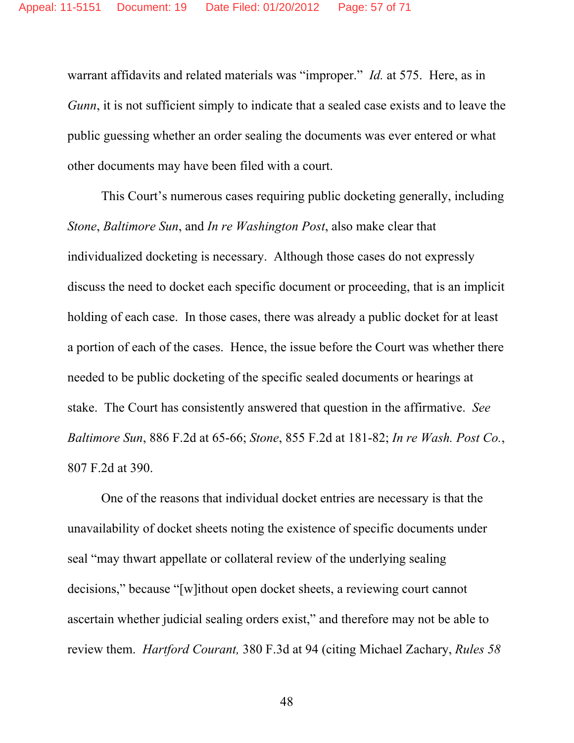warrant affidavits and related materials was "improper." *Id.* at 575. Here, as in *Gunn*, it is not sufficient simply to indicate that a sealed case exists and to leave the public guessing whether an order sealing the documents was ever entered or what other documents may have been filed with a court.

This Court's numerous cases requiring public docketing generally, including *Stone*, *Baltimore Sun*, and *In re Washington Post*, also make clear that individualized docketing is necessary. Although those cases do not expressly discuss the need to docket each specific document or proceeding, that is an implicit holding of each case. In those cases, there was already a public docket for at least a portion of each of the cases. Hence, the issue before the Court was whether there needed to be public docketing of the specific sealed documents or hearings at stake. The Court has consistently answered that question in the affirmative. *See Baltimore Sun*, 886 F.2d at 65-66; *Stone*, 855 F.2d at 181-82; *In re Wash. Post Co.*, 807 F.2d at 390.

One of the reasons that individual docket entries are necessary is that the unavailability of docket sheets noting the existence of specific documents under seal "may thwart appellate or collateral review of the underlying sealing decisions," because "[w]ithout open docket sheets, a reviewing court cannot ascertain whether judicial sealing orders exist," and therefore may not be able to review them. *Hartford Courant,* 380 F.3d at 94 (citing Michael Zachary, *Rules 58*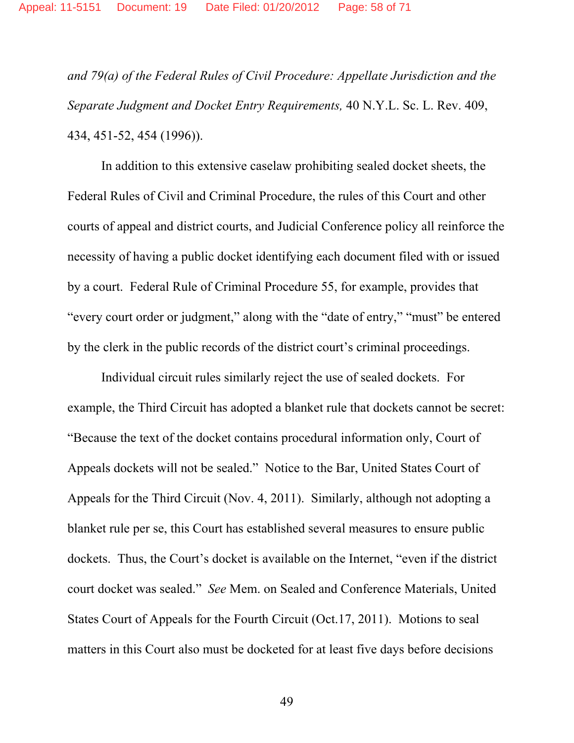*and 79(a) of the Federal Rules of Civil Procedure: Appellate Jurisdiction and the Separate Judgment and Docket Entry Requirements,* 40 N.Y.L. Sc. L. Rev. 409, 434, 451-52, 454 (1996)).

In addition to this extensive caselaw prohibiting sealed docket sheets, the Federal Rules of Civil and Criminal Procedure, the rules of this Court and other courts of appeal and district courts, and Judicial Conference policy all reinforce the necessity of having a public docket identifying each document filed with or issued by a court. Federal Rule of Criminal Procedure 55, for example, provides that "every court order or judgment," along with the "date of entry," "must" be entered by the clerk in the public records of the district court's criminal proceedings.

Individual circuit rules similarly reject the use of sealed dockets. For example, the Third Circuit has adopted a blanket rule that dockets cannot be secret: "Because the text of the docket contains procedural information only, Court of Appeals dockets will not be sealed." Notice to the Bar, United States Court of Appeals for the Third Circuit (Nov. 4, 2011). Similarly, although not adopting a blanket rule per se, this Court has established several measures to ensure public dockets. Thus, the Court's docket is available on the Internet, "even if the district court docket was sealed." *See* Mem. on Sealed and Conference Materials, United States Court of Appeals for the Fourth Circuit (Oct.17, 2011). Motions to seal matters in this Court also must be docketed for at least five days before decisions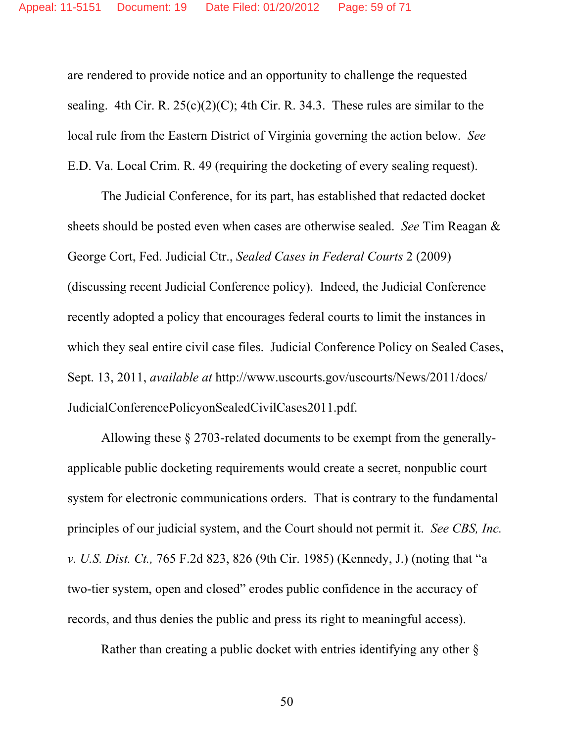are rendered to provide notice and an opportunity to challenge the requested sealing. 4th Cir. R.  $25(c)(2)(C)$ ; 4th Cir. R. 34.3. These rules are similar to the local rule from the Eastern District of Virginia governing the action below. *See*  E.D. Va. Local Crim. R. 49 (requiring the docketing of every sealing request).

The Judicial Conference, for its part, has established that redacted docket sheets should be posted even when cases are otherwise sealed. *See* Tim Reagan & George Cort, Fed. Judicial Ctr., *Sealed Cases in Federal Courts* 2 (2009) (discussing recent Judicial Conference policy). Indeed, the Judicial Conference recently adopted a policy that encourages federal courts to limit the instances in which they seal entire civil case files. Judicial Conference Policy on Sealed Cases, Sept. 13, 2011, *available at* http://www.uscourts.gov/uscourts/News/2011/docs/ JudicialConferencePolicyonSealedCivilCases2011.pdf.

Allowing these § 2703-related documents to be exempt from the generallyapplicable public docketing requirements would create a secret, nonpublic court system for electronic communications orders. That is contrary to the fundamental principles of our judicial system, and the Court should not permit it. *See CBS, Inc. v. U.S. Dist. Ct.,* 765 F.2d 823, 826 (9th Cir. 1985) (Kennedy, J.) (noting that "a two-tier system, open and closed" erodes public confidence in the accuracy of records, and thus denies the public and press its right to meaningful access).

Rather than creating a public docket with entries identifying any other §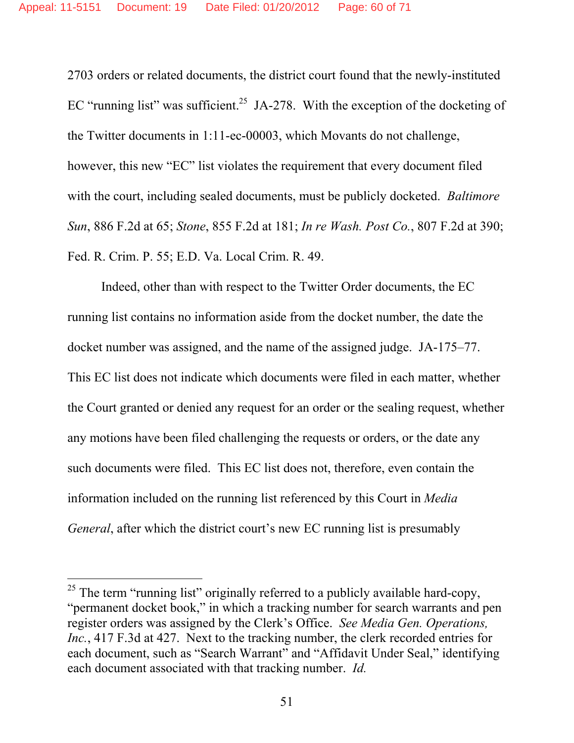2703 orders or related documents, the district court found that the newly-instituted EC "running list" was sufficient.<sup>25</sup> JA-278. With the exception of the docketing of the Twitter documents in 1:11-ec-00003, which Movants do not challenge, however, this new "EC" list violates the requirement that every document filed with the court, including sealed documents, must be publicly docketed. *Baltimore Sun*, 886 F.2d at 65; *Stone*, 855 F.2d at 181; *In re Wash. Post Co.*, 807 F.2d at 390; Fed. R. Crim. P. 55; E.D. Va. Local Crim. R. 49.

Indeed, other than with respect to the Twitter Order documents, the EC running list contains no information aside from the docket number, the date the docket number was assigned, and the name of the assigned judge. JA-175–77. This EC list does not indicate which documents were filed in each matter, whether the Court granted or denied any request for an order or the sealing request, whether any motions have been filed challenging the requests or orders, or the date any such documents were filed. This EC list does not, therefore, even contain the information included on the running list referenced by this Court in *Media General*, after which the district court's new EC running list is presumably

-

<sup>&</sup>lt;sup>25</sup> The term "running list" originally referred to a publicly available hard-copy, "permanent docket book," in which a tracking number for search warrants and pen register orders was assigned by the Clerk's Office. *See Media Gen. Operations, Inc.*, 417 F.3d at 427. Next to the tracking number, the clerk recorded entries for each document, such as "Search Warrant" and "Affidavit Under Seal," identifying each document associated with that tracking number. *Id.*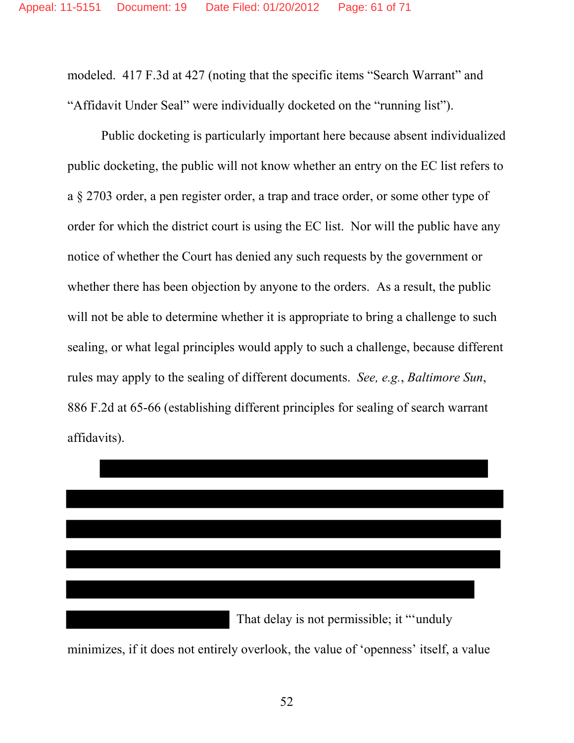modeled. 417 F.3d at 427 (noting that the specific items "Search Warrant" and "Affidavit Under Seal" were individually docketed on the "running list").

Public docketing is particularly important here because absent individualized public docketing, the public will not know whether an entry on the EC list refers to a § 2703 order, a pen register order, a trap and trace order, or some other type of order for which the district court is using the EC list. Nor will the public have any notice of whether the Court has denied any such requests by the government or whether there has been objection by anyone to the orders. As a result, the public will not be able to determine whether it is appropriate to bring a challenge to such sealing, or what legal principles would apply to such a challenge, because different rules may apply to the sealing of different documents. *See, e.g.*, *Baltimore Sun*, 886 F.2d at 65-66 (establishing different principles for sealing of search warrant affidavits).



minimizes, if it does not entirely overlook, the value of 'openness' itself, a value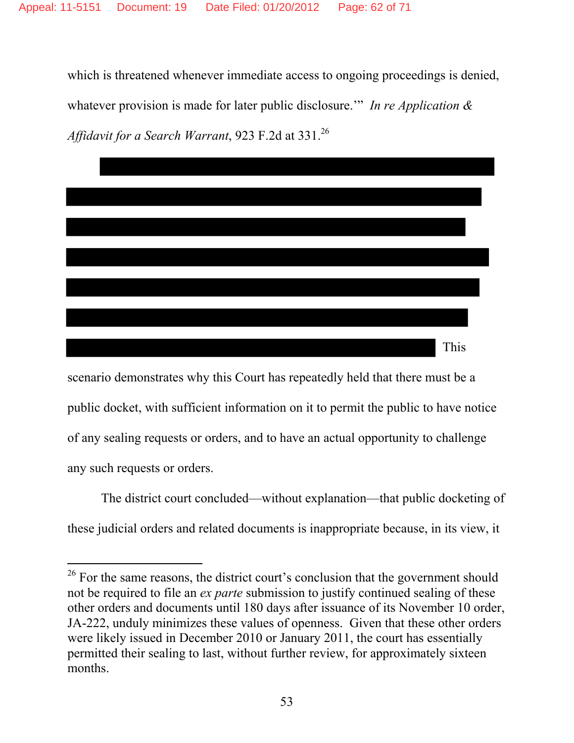which is threatened whenever immediate access to ongoing proceedings is denied, whatever provision is made for later public disclosure.'" *In re Application & Affidavit for a Search Warrant*, 923 F.2d at 331.26



scenario demonstrates why this Court has repeatedly held that there must be a public docket, with sufficient information on it to permit the public to have notice of any sealing requests or orders, and to have an actual opportunity to challenge any such requests or orders.

The district court concluded—without explanation—that public docketing of these judicial orders and related documents is inappropriate because, in its view, it

<sup>-</sup><sup>26</sup> For the same reasons, the district court's conclusion that the government should not be required to file an *ex parte* submission to justify continued sealing of these other orders and documents until 180 days after issuance of its November 10 order, JA-222, unduly minimizes these values of openness. Given that these other orders were likely issued in December 2010 or January 2011, the court has essentially permitted their sealing to last, without further review, for approximately sixteen months.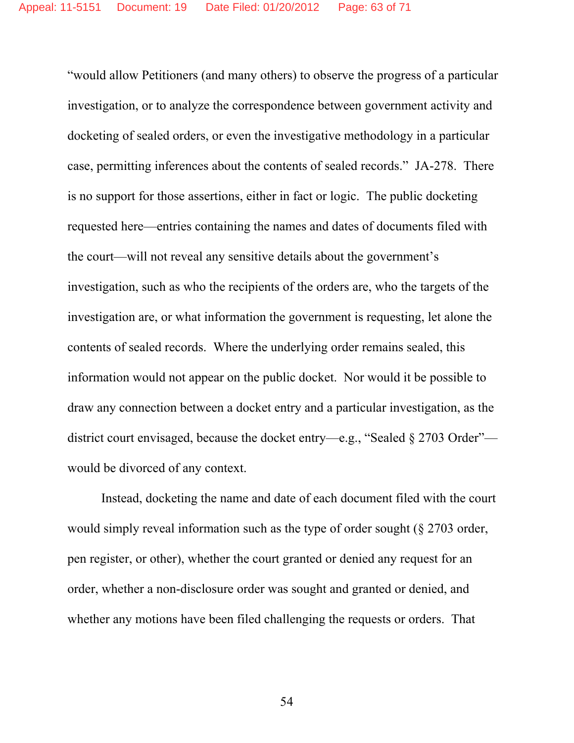"would allow Petitioners (and many others) to observe the progress of a particular investigation, or to analyze the correspondence between government activity and docketing of sealed orders, or even the investigative methodology in a particular case, permitting inferences about the contents of sealed records." JA-278. There is no support for those assertions, either in fact or logic. The public docketing requested here—entries containing the names and dates of documents filed with the court—will not reveal any sensitive details about the government's investigation, such as who the recipients of the orders are, who the targets of the investigation are, or what information the government is requesting, let alone the contents of sealed records. Where the underlying order remains sealed, this information would not appear on the public docket. Nor would it be possible to draw any connection between a docket entry and a particular investigation, as the district court envisaged, because the docket entry—e.g., "Sealed § 2703 Order" would be divorced of any context.

Instead, docketing the name and date of each document filed with the court would simply reveal information such as the type of order sought (§ 2703 order, pen register, or other), whether the court granted or denied any request for an order, whether a non-disclosure order was sought and granted or denied, and whether any motions have been filed challenging the requests or orders. That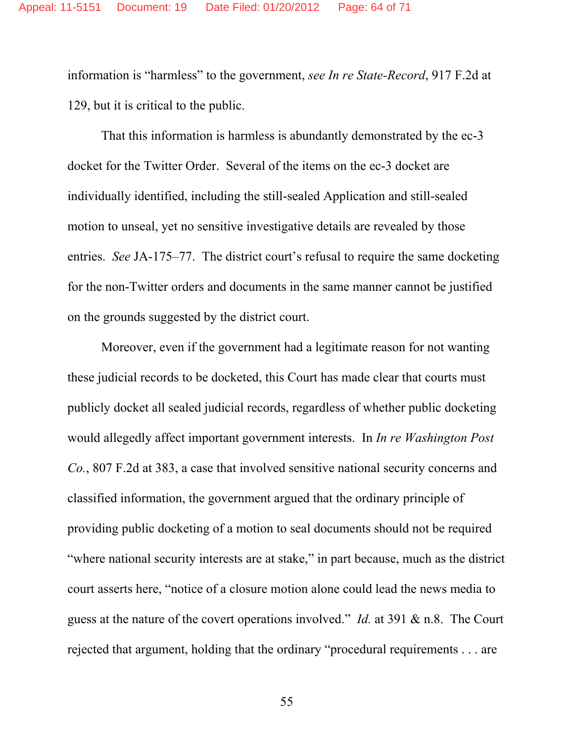information is "harmless" to the government, *see In re State-Record*, 917 F.2d at 129, but it is critical to the public.

That this information is harmless is abundantly demonstrated by the ec-3 docket for the Twitter Order. Several of the items on the ec-3 docket are individually identified, including the still-sealed Application and still-sealed motion to unseal, yet no sensitive investigative details are revealed by those entries. *See* JA-175–77. The district court's refusal to require the same docketing for the non-Twitter orders and documents in the same manner cannot be justified on the grounds suggested by the district court.

Moreover, even if the government had a legitimate reason for not wanting these judicial records to be docketed, this Court has made clear that courts must publicly docket all sealed judicial records, regardless of whether public docketing would allegedly affect important government interests. In *In re Washington Post Co.*, 807 F.2d at 383, a case that involved sensitive national security concerns and classified information, the government argued that the ordinary principle of providing public docketing of a motion to seal documents should not be required "where national security interests are at stake," in part because, much as the district court asserts here, "notice of a closure motion alone could lead the news media to guess at the nature of the covert operations involved." *Id.* at 391 & n.8. The Court rejected that argument, holding that the ordinary "procedural requirements . . . are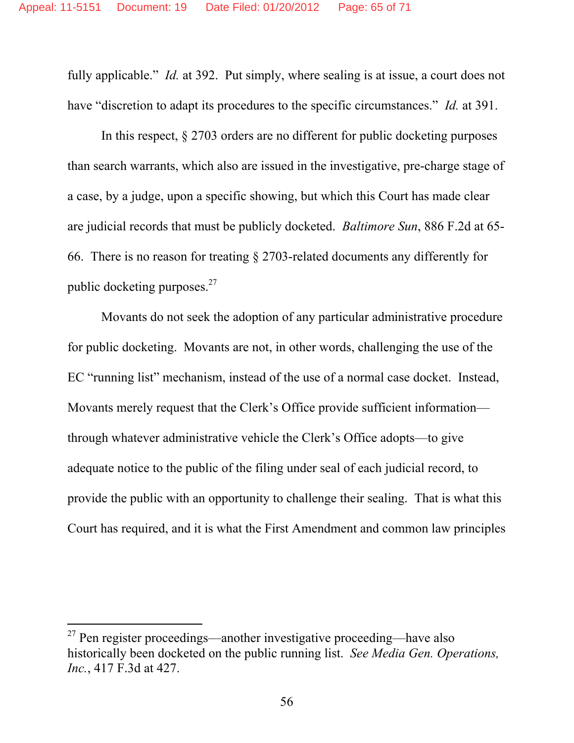fully applicable." *Id.* at 392. Put simply, where sealing is at issue, a court does not have "discretion to adapt its procedures to the specific circumstances." *Id.* at 391.

In this respect, § 2703 orders are no different for public docketing purposes than search warrants, which also are issued in the investigative, pre-charge stage of a case, by a judge, upon a specific showing, but which this Court has made clear are judicial records that must be publicly docketed. *Baltimore Sun*, 886 F.2d at 65- 66. There is no reason for treating § 2703-related documents any differently for public docketing purposes. $27$ 

Movants do not seek the adoption of any particular administrative procedure for public docketing. Movants are not, in other words, challenging the use of the EC "running list" mechanism, instead of the use of a normal case docket. Instead, Movants merely request that the Clerk's Office provide sufficient information through whatever administrative vehicle the Clerk's Office adopts—to give adequate notice to the public of the filing under seal of each judicial record, to provide the public with an opportunity to challenge their sealing. That is what this Court has required, and it is what the First Amendment and common law principles

-

 $27$  Pen register proceedings—another investigative proceeding—have also historically been docketed on the public running list. *See Media Gen. Operations, Inc.*, 417 F.3d at 427.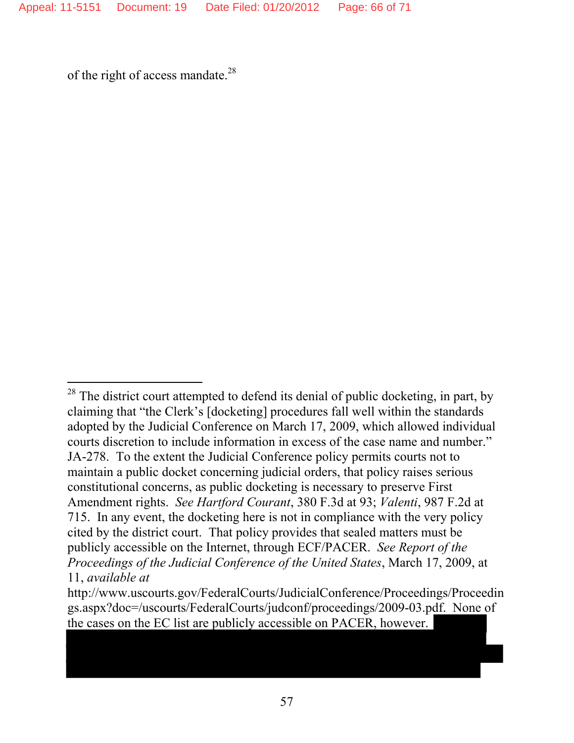of the right of access mandate.<sup>28</sup>

-

 $^{28}$  The district court attempted to defend its denial of public docketing, in part, by claiming that "the Clerk's [docketing] procedures fall well within the standards adopted by the Judicial Conference on March 17, 2009, which allowed individual courts discretion to include information in excess of the case name and number." JA-278. To the extent the Judicial Conference policy permits courts not to maintain a public docket concerning judicial orders, that policy raises serious constitutional concerns, as public docketing is necessary to preserve First Amendment rights. *See Hartford Courant*, 380 F.3d at 93; *Valenti*, 987 F.2d at 715. In any event, the docketing here is not in compliance with the very policy cited by the district court. That policy provides that sealed matters must be publicly accessible on the Internet, through ECF/PACER. *See Report of the Proceedings of the Judicial Conference of the United States*, March 17, 2009, at 11, *available at*

http://www.uscourts.gov/FederalCourts/JudicialConference/Proceedings/Proceedin gs.aspx?doc=/uscourts/FederalCourts/judconf/proceedings/2009-03.pdf. None of the cases on the EC list are publicly accessible on PACER, however.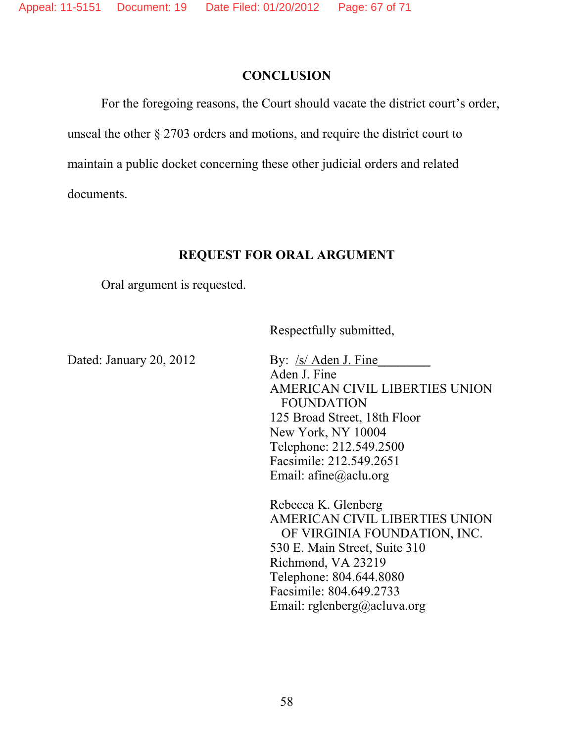#### **CONCLUSION**

 For the foregoing reasons, the Court should vacate the district court's order, unseal the other § 2703 orders and motions, and require the district court to maintain a public docket concerning these other judicial orders and related documents.

## **REQUEST FOR ORAL ARGUMENT**

Oral argument is requested.

Respectfully submitted,

Dated: January 20, 2012 By:  $\frac{\text{S}}{\text{S}}$  Aden J. Fine Aden J. Fine AMERICAN CIVIL LIBERTIES UNION FOUNDATION 125 Broad Street, 18th Floor New York, NY 10004 Telephone: 212.549.2500 Facsimile: 212.549.2651 Email: afine@aclu.org

> Rebecca K. Glenberg AMERICAN CIVIL LIBERTIES UNION OF VIRGINIA FOUNDATION, INC. 530 E. Main Street, Suite 310 Richmond, VA 23219 Telephone: 804.644.8080 Facsimile: 804.649.2733 Email: rglenberg@acluva.org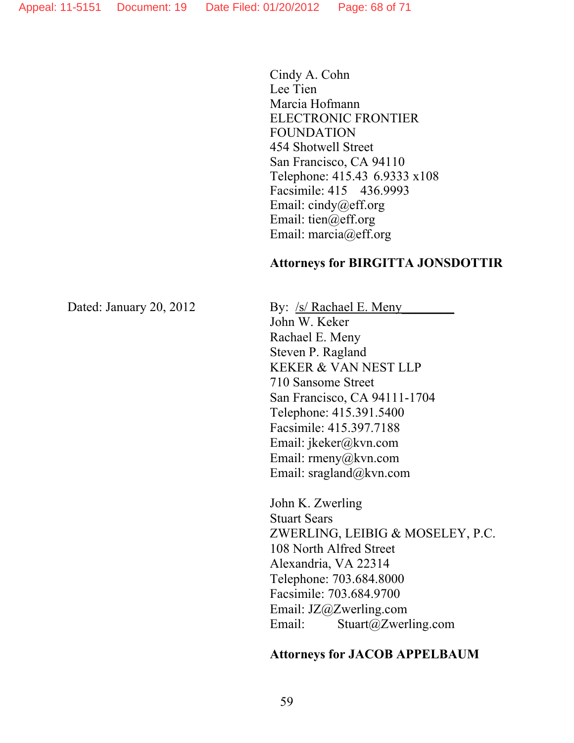Cindy A. Cohn Lee Tien Marcia Hofmann ELECTRONIC FRONTIER FOUNDATION 454 Shotwell Street San Francisco, CA 94110 Telephone: 415.43 6.9333 x108 Facsimile: 415 436.9993 Email: cindy@eff.org Email: tien@eff.org Email: marcia@eff.org

#### **Attorneys for BIRGITTA JONSDOTTIR**

Dated: January 20, 2012 By: /s/ Rachael E. Meny

John W. Keker Rachael E. Meny Steven P. Ragland KEKER & VAN NEST LLP 710 Sansome Street San Francisco, CA 94111-1704 Telephone: 415.391.5400 Facsimile: 415.397.7188 Email: jkeker@kvn.com Email: rmeny@kvn.com Email: sragland@kvn.com

John K. Zwerling Stuart Sears ZWERLING, LEIBIG & MOSELEY, P.C. 108 North Alfred Street Alexandria, VA 22314 Telephone: 703.684.8000 Facsimile: 703.684.9700 Email: JZ@Zwerling.com Email: Stuart@Zwerling.com

#### **Attorneys for JACOB APPELBAUM**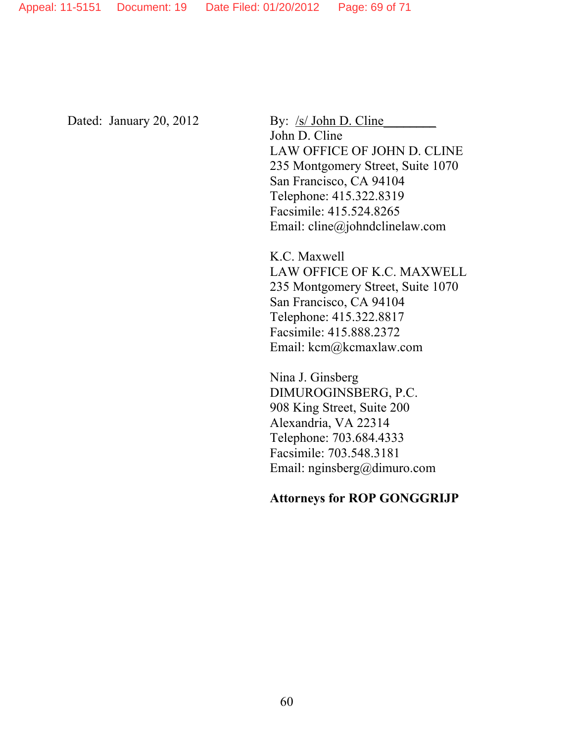Appeal: 11-5151 Document: 19 Date Filed: 01/20/2012 Page: 69 of 71

Dated: January 20, 2012 By: /s/ John D. Cline

John D. Cline LAW OFFICE OF JOHN D. CLINE 235 Montgomery Street, Suite 1070 San Francisco, CA 94104 Telephone: 415.322.8319 Facsimile: 415.524.8265 Email: cline@johndclinelaw.com

K.C. Maxwell LAW OFFICE OF K.C. MAXWELL 235 Montgomery Street, Suite 1070 San Francisco, CA 94104 Telephone: 415.322.8817 Facsimile: 415.888.2372 Email: kcm@kcmaxlaw.com

Nina J. Ginsberg DIMUROGINSBERG, P.C. 908 King Street, Suite 200 Alexandria, VA 22314 Telephone: 703.684.4333 Facsimile: 703.548.3181 Email: nginsberg@dimuro.com

#### **Attorneys for ROP GONGGRIJP**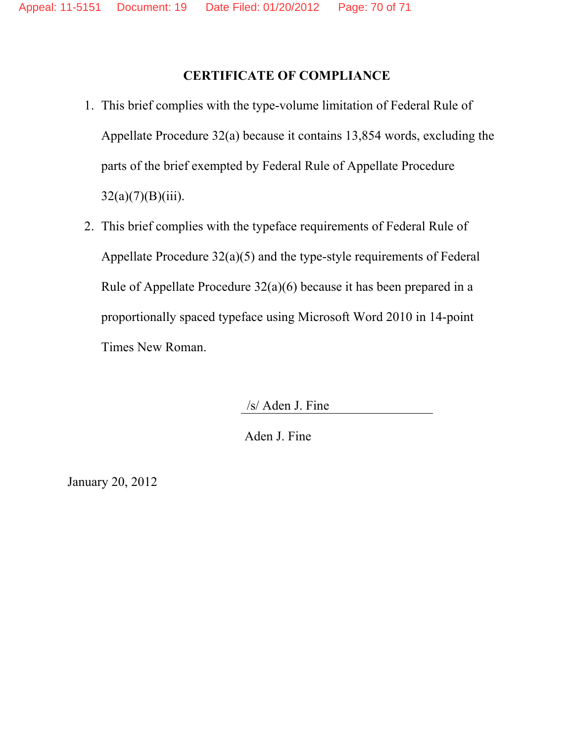## **CERTIFICATE OF COMPLIANCE**

- 1. This brief complies with the type-volume limitation of Federal Rule of Appellate Procedure 32(a) because it contains 13,854 words, excluding the parts of the brief exempted by Federal Rule of Appellate Procedure  $32(a)(7)(B)(iii)$ .
- 2. This brief complies with the typeface requirements of Federal Rule of Appellate Procedure 32(a)(5) and the type-style requirements of Federal Rule of Appellate Procedure 32(a)(6) because it has been prepared in a proportionally spaced typeface using Microsoft Word 2010 in 14-point Times New Roman.

/s/ Aden J. Fine

Aden J. Fine

January 20, 2012